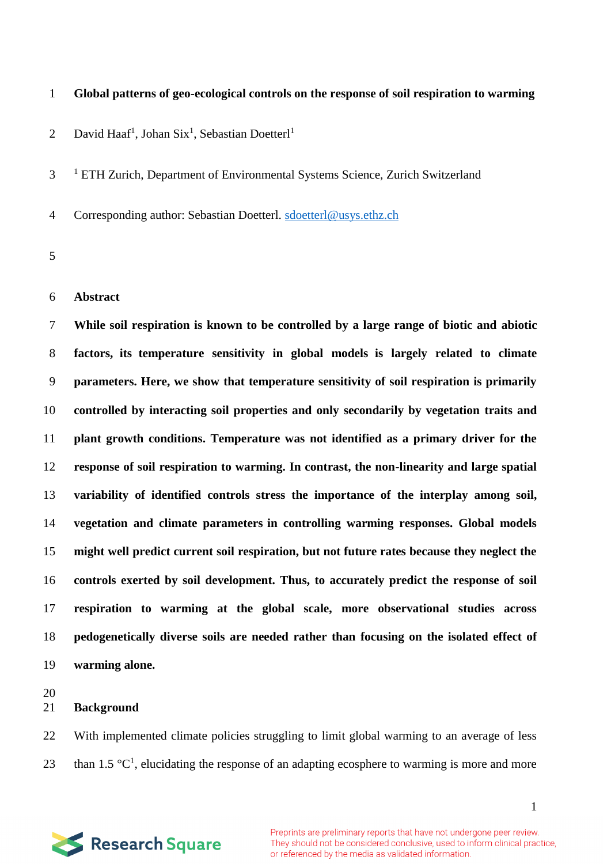# **Global patterns of geo-ecological controls on the response of soil respiration to warming**

David Haaf<sup>1</sup>, Johan Six<sup>1</sup>, Sebastian Doetterl<sup>1</sup> 

<sup>1</sup> ETH Zurich, Department of Environmental Systems Science, Zurich Switzerland

4 Corresponding author: Sebastian Doetterl. [sdoetterl@usys.ethz.ch](mailto:sdoetterl@usys.ethz.ch)

#### **Abstract**

 **While soil respiration is known to be controlled by a large range of biotic and abiotic factors, its temperature sensitivity in global models is largely related to climate parameters. Here, we show that temperature sensitivity of soil respiration is primarily controlled by interacting soil properties and only secondarily by vegetation traits and plant growth conditions. Temperature was not identified as a primary driver for the response of soil respiration to warming. In contrast, the non-linearity and large spatial variability of identified controls stress the importance of the interplay among soil, vegetation and climate parameters in controlling warming responses. Global models might well predict current soil respiration, but not future rates because they neglect the controls exerted by soil development. Thus, to accurately predict the response of soil respiration to warming at the global scale, more observational studies across pedogenetically diverse soils are needed rather than focusing on the isolated effect of warming alone.** 

### **Background**

 With implemented climate policies struggling to limit global warming to an average of less 23 than 1.5  $\mathrm{C}^1$ , elucidating the response of an adapting ecosphere to warming is more and more



Preprints are preliminary reports that have not undergone peer review. They should not be considered conclusive, used to inform clinical practice, or referenced by the media as validated information.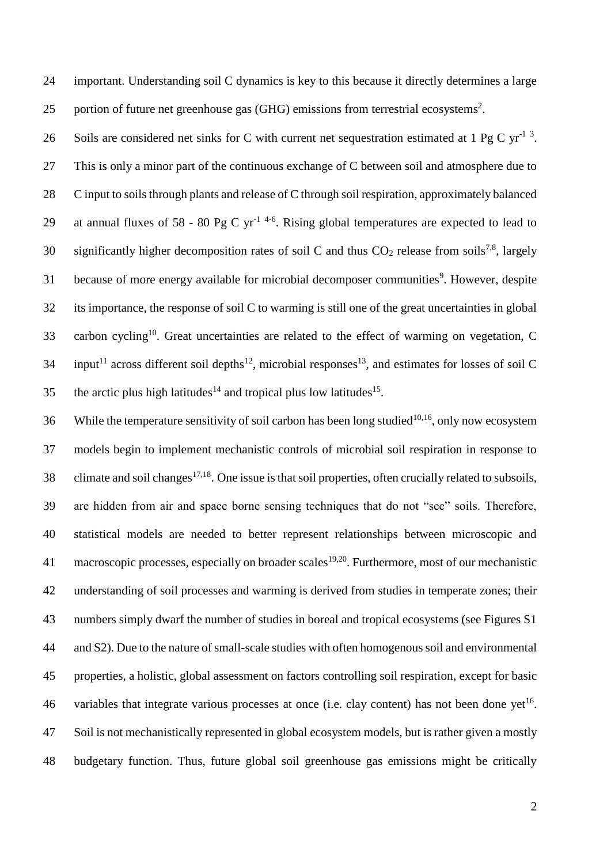24 important. Understanding soil C dynamics is key to this because it directly determines a large 25 portion of future net greenhouse gas (GHG) emissions from terrestrial ecosystems<sup>2</sup>.

26 Soils are considered net sinks for C with current net sequestration estimated at 1 Pg C yr<sup>-1 3</sup>. 27 This is only a minor part of the continuous exchange of C between soil and atmosphere due to 28 C input to soils through plants and release of C through soil respiration, approximately balanced 29 at annual fluxes of 58 - 80 Pg C yr<sup>-1 4-6</sup>. Rising global temperatures are expected to lead to 30 significantly higher decomposition rates of soil C and thus  $CO_2$  release from soils<sup>7,8</sup>, largely 31 because of more energy available for microbial decomposer communities<sup>9</sup>. However, despite 32 its importance, the response of soil C to warming is still one of the great uncertainties in global 33 . carbon cycling<sup>10</sup>. Great uncertainties are related to the effect of warming on vegetation, C  $34$  input<sup>11</sup> across different soil depths<sup>12</sup>, microbial responses<sup>13</sup>, and estimates for losses of soil C 35 the arctic plus high latitudes<sup>14</sup> and tropical plus low latitudes<sup>15</sup>.

36 While the temperature sensitivity of soil carbon has been long studied<sup>10,16</sup>, only now ecosystem models begin to implement mechanistic controls of microbial soil respiration in response to 38 climate and soil changes<sup>17,18</sup>. One issue is that soil properties, often crucially related to subsoils, are hidden from air and space borne sensing techniques that do not "see" soils. Therefore, statistical models are needed to better represent relationships between microscopic and 41 macroscopic processes, especially on broader scales<sup>19,20</sup>. Furthermore, most of our mechanistic understanding of soil processes and warming is derived from studies in temperate zones; their numbers simply dwarf the number of studies in boreal and tropical ecosystems (see Figures S1 and S2). Due to the nature of small-scale studies with often homogenous soil and environmental properties, a holistic, global assessment on factors controlling soil respiration, except for basic 46 variables that integrate various processes at once (i.e. clay content) has not been done yet<sup>16</sup>. Soil is not mechanistically represented in global ecosystem models, but is rather given a mostly budgetary function. Thus, future global soil greenhouse gas emissions might be critically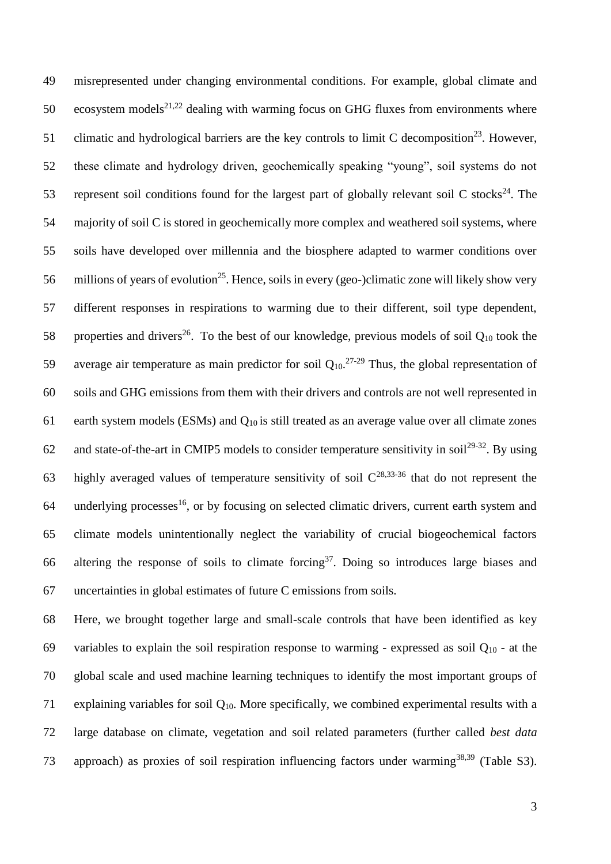49 misrepresented under changing environmental conditions. For example, global climate and 50 ecosystem models<sup>21,22</sup> dealing with warming focus on GHG fluxes from environments where 51 climatic and hydrological barriers are the key controls to limit C decomposition<sup>23</sup>. However, 52 these climate and hydrology driven, geochemically speaking "young", soil systems do not 53 represent soil conditions found for the largest part of globally relevant soil C stocks<sup>24</sup>. The 54 majority of soil C is stored in geochemically more complex and weathered soil systems, where 55 soils have developed over millennia and the biosphere adapted to warmer conditions over 56 millions of years of evolution<sup>25</sup>. Hence, soils in every (geo-)climatic zone will likely show very 57 different responses in respirations to warming due to their different, soil type dependent, 58 properties and drivers<sup>26</sup>. To the best of our knowledge, previous models of soil  $Q_{10}$  took the 59 average air temperature as main predictor for soil  $Q_{10}$ <sup>27-29</sup> Thus, the global representation of 60 soils and GHG emissions from them with their drivers and controls are not well represented in 61 earth system models (ESMs) and Q10 is still treated as an average value over all climate zones 62 and state-of-the-art in CMIP5 models to consider temperature sensitivity in soil<sup>29-32</sup>. By using 63 highly averaged values of temperature sensitivity of soil  $C^{28,33-36}$  that do not represent the 64 underlying processes<sup>16</sup>, or by focusing on selected climatic drivers, current earth system and 65 climate models unintentionally neglect the variability of crucial biogeochemical factors 66 altering the response of soils to climate forcing<sup>37</sup>. Doing so introduces large biases and 67 uncertainties in global estimates of future C emissions from soils.

68 Here, we brought together large and small-scale controls that have been identified as key 69 variables to explain the soil respiration response to warming - expressed as soil  $Q_{10}$  - at the 70 global scale and used machine learning techniques to identify the most important groups of 71 explaining variables for soil  $Q_{10}$ . More specifically, we combined experimental results with a 72 large database on climate, vegetation and soil related parameters (further called *best data* 73 approach) as proxies of soil respiration influencing factors under warming<sup>38,39</sup> (Table S3).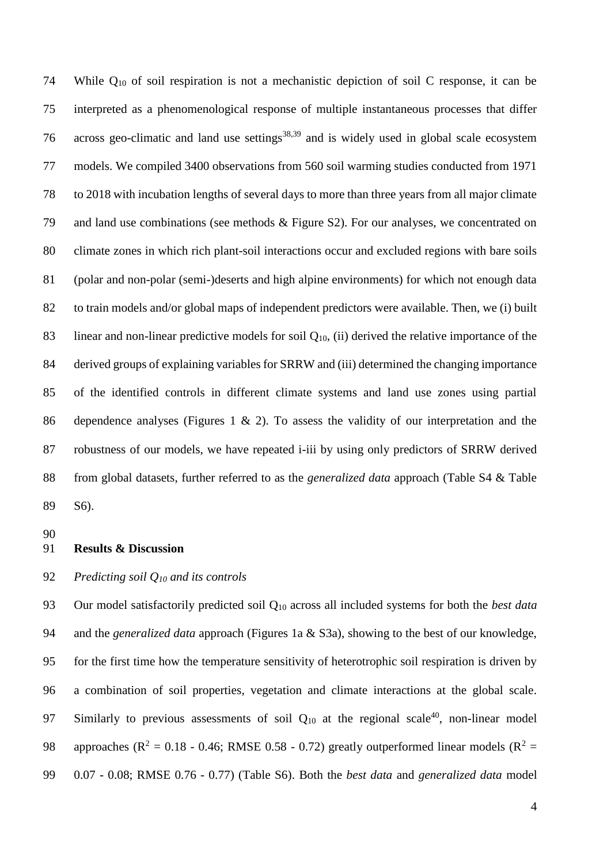74 While  $Q_{10}$  of soil respiration is not a mechanistic depiction of soil C response, it can be interpreted as a phenomenological response of multiple instantaneous processes that differ 76 across geo-climatic and land use settings<sup>38,39</sup> and is widely used in global scale ecosystem models. We compiled 3400 observations from 560 soil warming studies conducted from 1971 to 2018 with incubation lengths of several days to more than three years from all major climate and land use combinations (see methods & Figure S2). For our analyses, we concentrated on climate zones in which rich plant-soil interactions occur and excluded regions with bare soils (polar and non-polar (semi-)deserts and high alpine environments) for which not enough data to train models and/or global maps of independent predictors were available. Then, we (i) built 83 linear and non-linear predictive models for soil  $Q_{10}$ , (ii) derived the relative importance of the derived groups of explaining variables for SRRW and (iii) determined the changing importance of the identified controls in different climate systems and land use zones using partial dependence analyses (Figures 1 & 2). To assess the validity of our interpretation and the robustness of our models, we have repeated i-iii by using only predictors of SRRW derived from global datasets, further referred to as the *generalized data* approach (Table S4 & Table S6).

#### **Results & Discussion**

# *Predicting soil Q<sup>10</sup> and its controls*

 Our model satisfactorily predicted soil Q<sup>10</sup> across all included systems for both the *best data* and the *generalized data* approach (Figures 1a & S3a), showing to the best of our knowledge, for the first time how the temperature sensitivity of heterotrophic soil respiration is driven by a combination of soil properties, vegetation and climate interactions at the global scale. 97 Similarly to previous assessments of soil  $Q_{10}$  at the regional scale<sup>40</sup>, non-linear model 98 approaches ( $\mathbb{R}^2 = 0.18$  - 0.46; RMSE 0.58 - 0.72) greatly outperformed linear models ( $\mathbb{R}^2 =$ 0.07 - 0.08; RMSE 0.76 - 0.77) (Table S6). Both the *best data* and *generalized data* model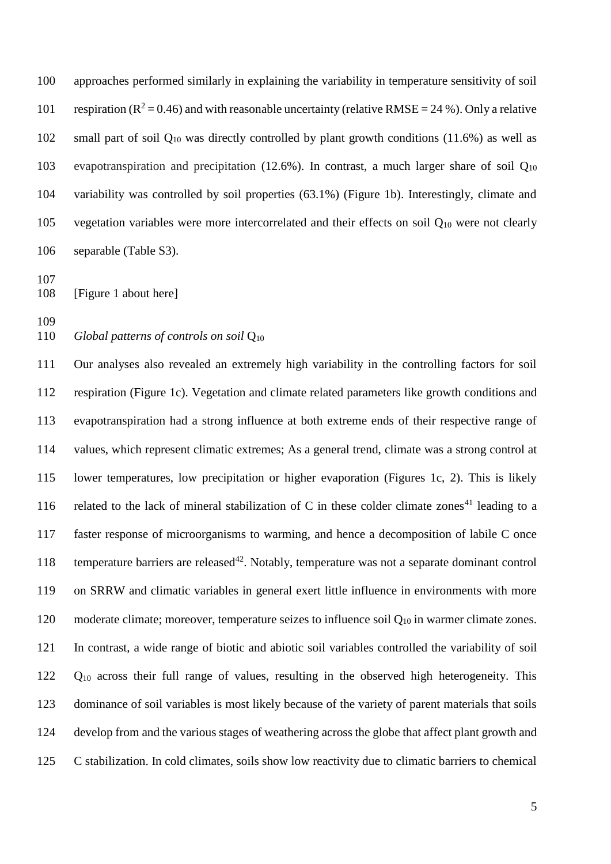approaches performed similarly in explaining the variability in temperature sensitivity of soil 101 respiration ( $R^2 = 0.46$ ) and with reasonable uncertainty (relative RMSE = 24 %). Only a relative small part of soil Q<sup>10</sup> was directly controlled by plant growth conditions (11.6%) as well as 103 evapotranspiration and precipitation (12.6%). In contrast, a much larger share of soil  $Q_{10}$  variability was controlled by soil properties (63.1%) (Figure 1b). Interestingly, climate and 105 vegetation variables were more intercorrelated and their effects on soil  $Q_{10}$  were not clearly separable (Table S3).

[Figure 1 about here]

*Global patterns of controls on soil* Q<sup>10</sup>

 Our analyses also revealed an extremely high variability in the controlling factors for soil respiration (Figure 1c). Vegetation and climate related parameters like growth conditions and evapotranspiration had a strong influence at both extreme ends of their respective range of values, which represent climatic extremes; As a general trend, climate was a strong control at lower temperatures, low precipitation or higher evaporation (Figures 1c, 2). This is likely 116 related to the lack of mineral stabilization of C in these colder climate zones<sup>41</sup> leading to a faster response of microorganisms to warming, and hence a decomposition of labile C once 118 temperature barriers are released<sup>42</sup>. Notably, temperature was not a separate dominant control on SRRW and climatic variables in general exert little influence in environments with more 120 moderate climate; moreover, temperature seizes to influence soil  $Q_{10}$  in warmer climate zones. In contrast, a wide range of biotic and abiotic soil variables controlled the variability of soil Q<sup>10</sup> across their full range of values, resulting in the observed high heterogeneity. This dominance of soil variables is most likely because of the variety of parent materials that soils develop from and the various stages of weathering across the globe that affect plant growth and C stabilization. In cold climates, soils show low reactivity due to climatic barriers to chemical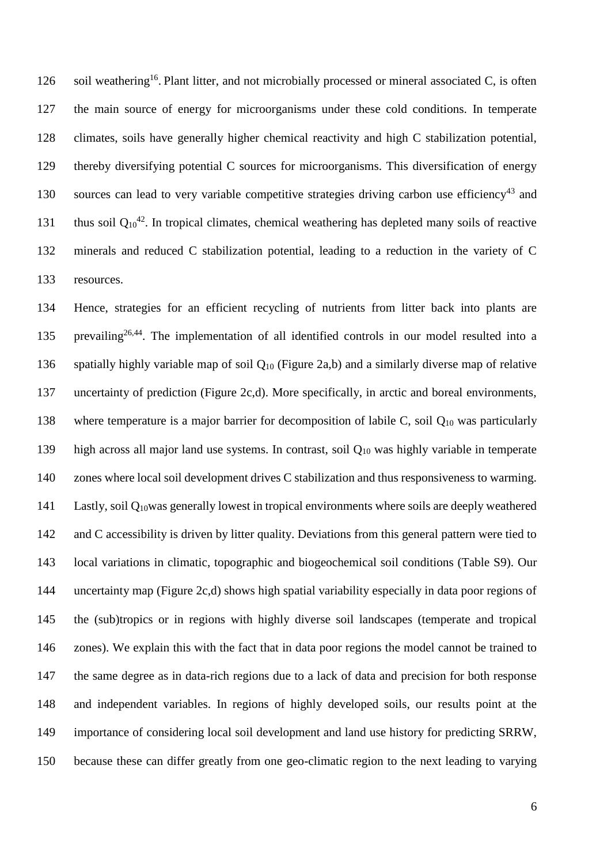126 soil weathering<sup>16</sup>. Plant litter, and not microbially processed or mineral associated C, is often the main source of energy for microorganisms under these cold conditions. In temperate climates, soils have generally higher chemical reactivity and high C stabilization potential, thereby diversifying potential C sources for microorganisms. This diversification of energy sources can lead to very variable competitive strategies driving carbon use efficiency<sup>43</sup> and 131 thus soil  $Q_{10}^{42}$ . In tropical climates, chemical weathering has depleted many soils of reactive minerals and reduced C stabilization potential, leading to a reduction in the variety of C resources.

 Hence, strategies for an efficient recycling of nutrients from litter back into plants are 135 prevailing<sup>26,44</sup>. The implementation of all identified controls in our model resulted into a spatially highly variable map of soil Q<sup>10</sup> (Figure 2a,b) and a similarly diverse map of relative uncertainty of prediction (Figure 2c,d). More specifically, in arctic and boreal environments, where temperature is a major barrier for decomposition of labile C, soil Q<sup>10</sup> was particularly high across all major land use systems. In contrast, soil Q<sup>10</sup> was highly variable in temperate zones where local soil development drives C stabilization and thus responsiveness to warming. Lastly, soil Q10was generally lowest in tropical environments where soils are deeply weathered and C accessibility is driven by litter quality. Deviations from this general pattern were tied to local variations in climatic, topographic and biogeochemical soil conditions (Table S9). Our uncertainty map (Figure 2c,d) shows high spatial variability especially in data poor regions of the (sub)tropics or in regions with highly diverse soil landscapes (temperate and tropical zones). We explain this with the fact that in data poor regions the model cannot be trained to the same degree as in data-rich regions due to a lack of data and precision for both response and independent variables. In regions of highly developed soils, our results point at the importance of considering local soil development and land use history for predicting SRRW, because these can differ greatly from one geo-climatic region to the next leading to varying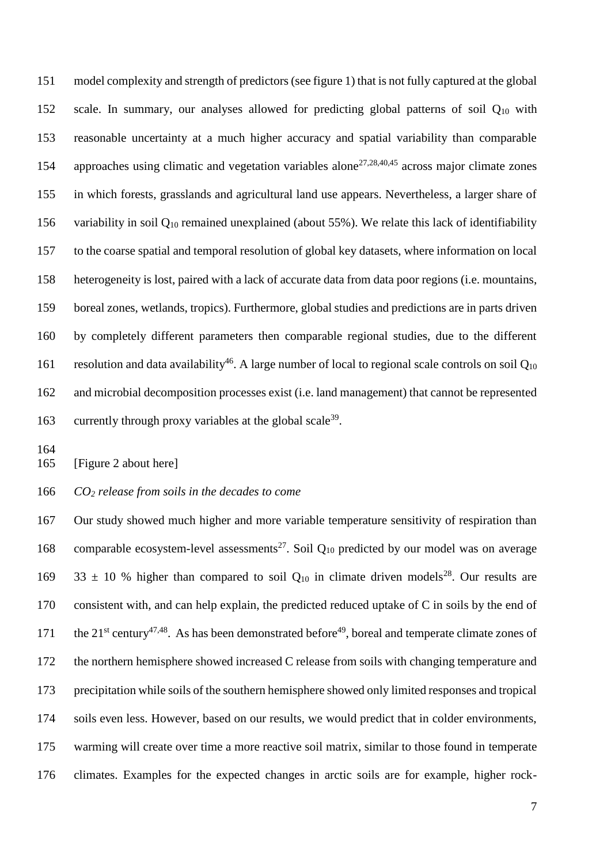model complexity and strength of predictors (see figure 1) that is not fully captured at the global scale. In summary, our analyses allowed for predicting global patterns of soil Q<sup>10</sup> with reasonable uncertainty at a much higher accuracy and spatial variability than comparable 154 approaches using climatic and vegetation variables alone<sup>27,28,40,45</sup> across major climate zones in which forests, grasslands and agricultural land use appears. Nevertheless, a larger share of variability in soil Q<sup>10</sup> remained unexplained (about 55%). We relate this lack of identifiability to the coarse spatial and temporal resolution of global key datasets, where information on local heterogeneity is lost, paired with a lack of accurate data from data poor regions (i.e. mountains, boreal zones, wetlands, tropics). Furthermore, global studies and predictions are in parts driven by completely different parameters then comparable regional studies, due to the different 161 resolution and data availability<sup>46</sup>. A large number of local to regional scale controls on soil  $Q_{10}$  and microbial decomposition processes exist (i.e. land management) that cannot be represented 163 currently through proxy variables at the global scale<sup>39</sup>.

[Figure 2 about here]

*CO<sup>2</sup> release from soils in the decades to come*

 Our study showed much higher and more variable temperature sensitivity of respiration than 168 comparable ecosystem-level assessments<sup>27</sup>. Soil  $Q_{10}$  predicted by our model was on average  $33 \pm 10$  % higher than compared to soil Q<sub>10</sub> in climate driven models<sup>28</sup>. Our results are consistent with, and can help explain, the predicted reduced uptake of C in soils by the end of 171 the  $21^{st}$  century<sup>47,48</sup>. As has been demonstrated before<sup>49</sup>, boreal and temperate climate zones of the northern hemisphere showed increased C release from soils with changing temperature and precipitation while soils of the southern hemisphere showed only limited responses and tropical soils even less. However, based on our results, we would predict that in colder environments, warming will create over time a more reactive soil matrix, similar to those found in temperate climates. Examples for the expected changes in arctic soils are for example, higher rock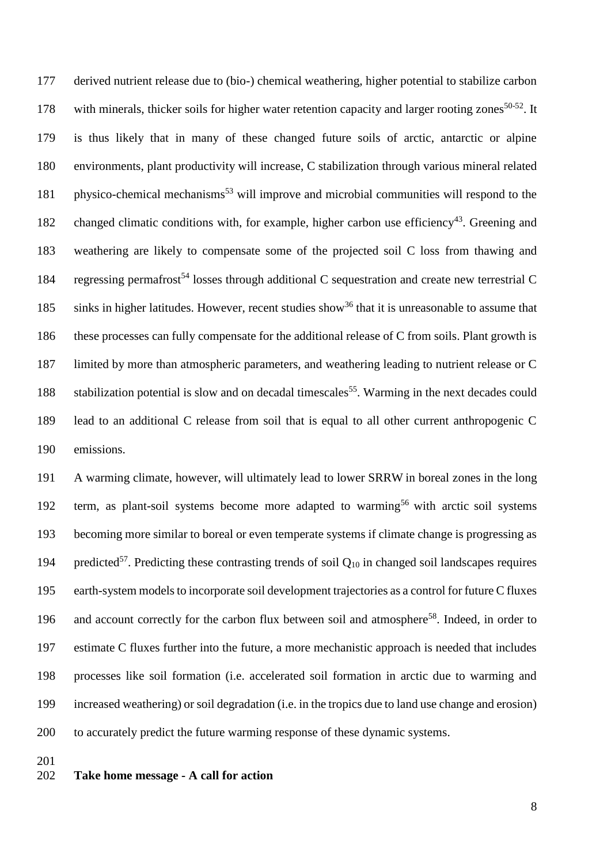derived nutrient release due to (bio-) chemical weathering, higher potential to stabilize carbon 178 with minerals, thicker soils for higher water retention capacity and larger rooting zones  $50-52$ . It is thus likely that in many of these changed future soils of arctic, antarctic or alpine environments, plant productivity will increase, C stabilization through various mineral related 181 physico-chemical mechanisms<sup>53</sup> will improve and microbial communities will respond to the 182 changed climatic conditions with, for example, higher carbon use efficiency<sup>43</sup>. Greening and weathering are likely to compensate some of the projected soil C loss from thawing and 184 regressing permafrost<sup>54</sup> losses through additional C sequestration and create new terrestrial C 185 sinks in higher latitudes. However, recent studies show<sup>36</sup> that it is unreasonable to assume that these processes can fully compensate for the additional release of C from soils. Plant growth is limited by more than atmospheric parameters, and weathering leading to nutrient release or C 188 stabilization potential is slow and on decadal timescales<sup>55</sup>. Warming in the next decades could lead to an additional C release from soil that is equal to all other current anthropogenic C emissions.

 A warming climate, however, will ultimately lead to lower SRRW in boreal zones in the long 192 term, as plant-soil systems become more adapted to warming<sup>56</sup> with arctic soil systems becoming more similar to boreal or even temperate systems if climate change is progressing as 194 predicted<sup>57</sup>. Predicting these contrasting trends of soil  $Q_{10}$  in changed soil landscapes requires earth-system models to incorporate soil development trajectories as a control for future C fluxes 196 and account correctly for the carbon flux between soil and atmosphere<sup>58</sup>. Indeed, in order to estimate C fluxes further into the future, a more mechanistic approach is needed that includes processes like soil formation (i.e. accelerated soil formation in arctic due to warming and increased weathering) or soil degradation (i.e. in the tropics due to land use change and erosion) to accurately predict the future warming response of these dynamic systems.

## **Take home message - A call for action**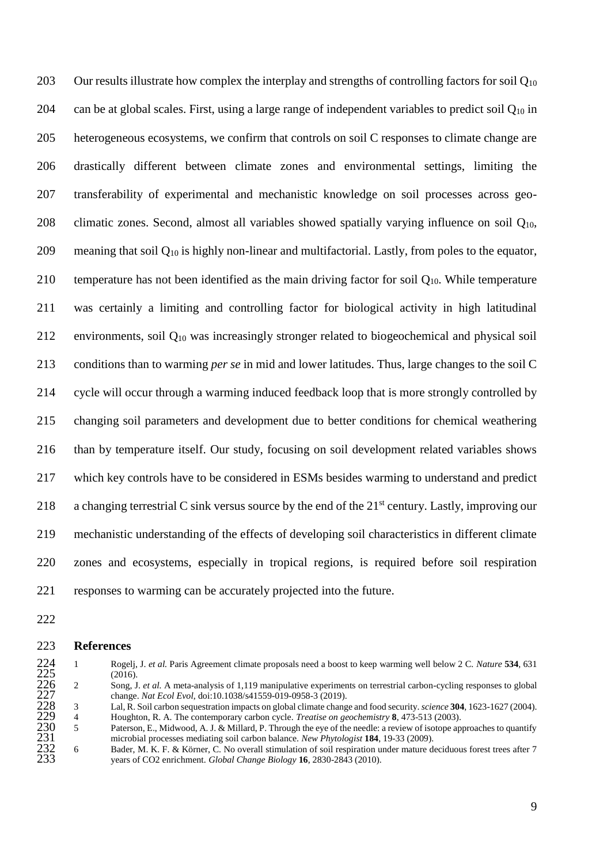203 Our results illustrate how complex the interplay and strengths of controlling factors for soil  $Q_{10}$ 204 can be at global scales. First, using a large range of independent variables to predict soil  $Q_{10}$  in heterogeneous ecosystems, we confirm that controls on soil C responses to climate change are drastically different between climate zones and environmental settings, limiting the transferability of experimental and mechanistic knowledge on soil processes across geo-208 climatic zones. Second, almost all variables showed spatially varying influence on soil  $Q_{10}$ , 209 meaning that soil  $Q_{10}$  is highly non-linear and multifactorial. Lastly, from poles to the equator, 210 temperature has not been identified as the main driving factor for soil  $Q_{10}$ . While temperature was certainly a limiting and controlling factor for biological activity in high latitudinal 212 environments, soil  $O_{10}$  was increasingly stronger related to biogeochemical and physical soil conditions than to warming *per se* in mid and lower latitudes. Thus, large changes to the soil C cycle will occur through a warming induced feedback loop that is more strongly controlled by changing soil parameters and development due to better conditions for chemical weathering than by temperature itself. Our study, focusing on soil development related variables shows which key controls have to be considered in ESMs besides warming to understand and predict 218 a changing terrestrial C sink versus source by the end of the  $21<sup>st</sup>$  century. Lastly, improving our mechanistic understanding of the effects of developing soil characteristics in different climate zones and ecosystems, especially in tropical regions, is required before soil respiration responses to warming can be accurately projected into the future.

222

# 223 **References**

- 224 1 Rogelj, J. *et al.* Paris Agreement climate proposals need a boost to keep warming well below 2 C. *Nature* 534, 631 (2016).<br>
226 2 Song, J. *et al.* A meta-analysis of 1,119 manipulative experiments on terrestrial c  $(2016).$ <br>2 Song, J
- 226 2 Song, J. *et al.* A meta-analysis of 1,119 manipulative experiments on terrestrial carbon-cycling responses to global <sup>2</sup> change. *Nat Ecol Evol*, doi:10.1038/s41559-019-0958-3 (2019).<br>
<sup>2</sup> Lal. R. Soil carbon sequestration impacts on global climate change

228 Lal, R. Soil carbon sequestration impacts on global climate change and food security. *science* **304**, 1623-1627 (2004).<br><sup>4</sup> Houghton, R. A. The contemporary carbon cycle. *Treatise on geochemistry* **8**, 473-513 (2003) 229 4 Houghton, R. A. The contemporary carbon cycle. *Treatise on geochemistry* **8**, 473-513 (2003).<br>23 Paterson, E., Midwood, A. J. & Millard, P. Through the eye of the needle: a review of isotope ap

Paterson, E., Midwood, A. J. & Millard, P. Through the eye of the needle: a review of isotope approaches to quantify 231 microbial processes mediating soil carbon balance. *New Phytologist* **184**, 19-33 (2009).<br>
6 Bader. M. K. F. & Körner. C. No overall stimulation of soil respiration under mature de

Bader, M. K. F. & Körner, C. No overall stimulation of soil respiration under mature deciduous forest trees after 7 233 years of CO2 enrichment. *Global Change Biology* **16**, 2830-2843 (2010).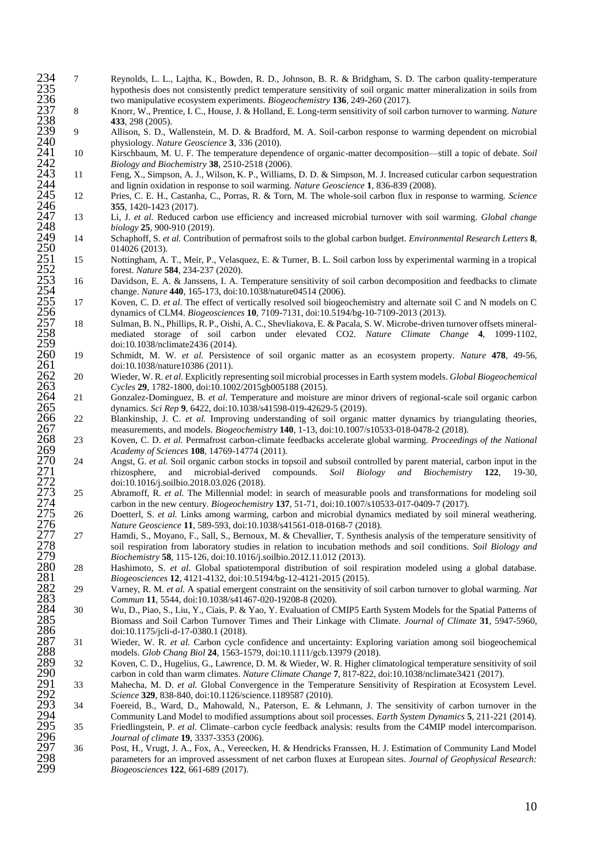- hypothesis does not consistently predict temperature sensitivity of soil organic matter mineralization in soils from two manipulative ecosystem experiments. *Biogeochemistry* **136**, 249-260 (2017).
- 8 Knorr, W., Prentice, I. C., House, J. & Holland, E. Long-term sensitivity of soil carbon turnover to warming. *Nature* **433**, 298 (2005).<br>9 Allison, S. D., V
- 9 Allison, S. D., Wallenstein, M. D. & Bradford, M. A. Soil-carbon response to warming dependent on microbial physiology. *Nature Geoscience* **3**, 336 (2010).
- 10 Kirschbaum, M. U. F. The temperature dependence of organic-matter decomposition—still a topic of debate. *Soil Biology and Biochemistry* **38**, 2510-2518 (2006).<br>11 Feng, X., Simpson, A. J., Wilson, K. P., Williams
- 11 Feng, X., Simpson, A. J., Wilson, K. P., Williams, D. D. & Simpson, M. J. Increased cuticular carbon sequestration 244 and lignin oxidation in response to soil warming. *Nature Geoscience* **1**, 836-839 (2008).<br>
2444 Pries, C. E. H., Castanha, C., Porras, R. & Torn, M. The whole-soil carbon flux in resp
- 12 Pries, C. E. H., Castanha, C., Porras, R. & Torn, M. The whole-soil carbon flux in response to warming. *Science* **355**, 1420-1423 (2017).
- 13 Li, J. *et al.* Reduced carbon use efficiency and increased microbial turnover with soil warming. *Global change biology* **25**, 900-910 (2019).
- 14 Schaphoff, S. *et al.* Contribution of permafrost soils to the global carbon budget. *Environmental Research Letters* **8**, 014026 (2013).
- 15 Nottingham, A. T., Meir, P., Velasquez, E. & Turner, B. L. Soil carbon loss by experimental warming in a tropical forest. *Nature* **584**, 234-237 (2020).
- 16 Davidson, E. A. & Janssens, I. A. Temperature sensitivity of soil carbon decomposition and feedbacks to climate 264 change. *Nature* **440**, 165-173, doi:10.1038/nature04514 (2006).<br> **254** Koven, C. D. *et al.* The effect of vertically resolved soil bioged
- 17 Koven, C. D. *et al.* The effect of vertically resolved soil biogeochemistry and alternate soil C and N models on C dynamics of CLM4. *Biogeosciences* **10**, 7109-7131, doi:10.5194/bg-10-7109-2013 (2013).<br>Sulman, B. N., Phillips, R. P., Oishi, A. C., Shevliakova, E. & Pacala, S. W. Microbe-driven
- 18 Sulman, B. N., Phillips, R. P., Oishi, A. C., Shevliakova, E. & Pacala, S. W. Microbe-driven turnover offsets mineral- mediated storage of soil carbon under elevated CO2. *Nature Climate Change* **4**, 1099-1102, doi:10.1038/nclimate2436 (2014).<br>19 Schmidt. M. W. *et al.* Persiste
- 19 Schmidt, M. W. *et al.* Persistence of soil organic matter as an ecosystem property. *Nature* **478**, 49-56, doi:10.1038/nature10386 (2011).
- 20 Wieder, W. R. *et al.* Explicitly representing soil microbial processes in Earth system models. *Global Biogeochemical Cycles* **29**, 1782-1800, doi:10.1002/2015gb005188 (2015).

 21 Gonzalez-Dominguez, B. *et al.* Temperature and moisture are minor drivers of regional-scale soil organic carbon dynamics. *Sci Rep* **9**, 6422, doi:10.1038/s41598-019-42629-5 (2019).<br>22 Blankinship, J. C. *et al.* Improving understanding of soil organic

- 22 Blankinship, J. C. *et al.* Improving understanding of soil organic matter dynamics by triangulating theories, measurements, and models. *Biogeochemistry* **140**, 1-13, doi:10.1007/s10533-018-0478-2 (2018).
- 23 Koven, C. D. *et al.* Permafrost carbon-climate feedbacks accelerate global warming. *Proceedings of the National Academy of Sciences* **108**, 14769-14774 (2011).
- 234 7 Reynolds, L. L., L., Laytha, K., Doweles, R. D., Johnson, R. R. R. Reicham, S. D. The carbon quality-temperature and the set of the set of the set of the set of the set of the set of the set of the set of the set of 24 Angst, G. *et al.* Soil organic carbon stocks in topsoil and subsoil controlled by parent material, carbon input in the rhizosphere, and microbial-derived compounds. *Soil Biology and Biochemistry* 122, 19-30, rhizosphere, and microbial-derived compounds. *Soil Biology and Biochemistry* **122**, 19-30, doi:10.1016/j.soilbio.2018.03.026 (2018).<br>25 Abramoff. R. *et al.* The Millennial mode
	- 25 Abramoff, R. *et al.* The Millennial model: in search of measurable pools and transformations for modeling soil carbon in the new century. *Biogeochemistry* **137**, 51-71, doi:10.1007/s10533-017-0409-7 (2017).
	- 26 Doetterl, S. *et al.* Links among warming, carbon and microbial dynamics mediated by soil mineral weathering. *Nature Geoscience* **11**, 589-593, doi:10.1038/s41561-018-0168-7 (2018).
	- 27 Hamdi, S., Moyano, F., Sall, S., Bernoux, M. & Chevallier, T. Synthesis analysis of the temperature sensitivity of soil respiration from laboratory studies in relation to incubation methods and soil conditions. *Soil Biology and Biochemistry* **58**, 115-126, doi:10.1016/j.soilbio.2012.11.012 (2013).<br>28 **Hashimoto, S.** *et al.* Global spatiotemporal distribution of soil re
	- *Biogeosciences* **12**, 4121-4132, doi:10.5194/bg-12-4121-2015 (2015).
	- 29 Varney, R. M. *et al.* A spatial emergent constraint on the sensitivity of soil carbon turnover to global warming. *Nat Commun* **11**, 5544, doi:10.1038/s41467-020-19208-8 (2020).
- 280 28 Hashimoto, S. *et al.* Global spatiotemporal distribution of soil respiration modeled using a global database.<br>
282 29 Vamey, R. M. *et al.* A spatial emergent constraint on the sensitivity of soil carbon turnover t 30 Wu, D., Piao, S., Liu, Y., Ciais, P. & Yao, Y. Evaluation of CMIP5 Earth System Models for the Spatial Patterns of Biomass and Soil Carbon Turnover Times and Their Linkage with Climate. *Journal of Climate* **31**, 5947-5960, doi:10.1175/jcli-d-17-0380.1 (2018).
	- 31 Wieder, W. R. *et al.* Carbon cycle confidence and uncertainty: Exploring variation among soil biogeochemical models. *Glob Chang Biol* **24**, 1563-1579, doi:10.1111/gcb.13979 (2018).
	- 32 Koven, C. D., Hugelius, G., Lawrence, D. M. & Wieder, W. R. Higher climatological temperature sensitivity of soil carbon in cold than warm climates. *Nature Climate Change* **7**, 817-822, doi:10.1038/nclimate3421 (2017).
	- 33 Mahecha, M. D. *et al.* Global Convergence in the Temperature Sensitivity of Respiration at Ecosystem Level. *Science* **329**, 838-840, doi:10.1126/science.1189587 (2010).<br> **24 Foereid. B., Ward. D., Mahowald. N., Paterson, E. & Le**
- Foereid, B., Ward, D., Mahowald, N., Paterson, E. & Lehmann, J. The sensitivity of carbon turnover in the 294 Community Land Model to modified assumptions about soil processes. *Earth System Dynamics* **5**, 211-221 (2014).<br>
294 Friedlingstein, P. *et al.* Climate–carbon cycle feedback analysis: results from the C4MIP model inte
- Friedlingstein, P. *et al.* Climate–carbon cycle feedback analysis: results from the C4MIP model intercomparison. *Journal of climate* **19**, 3337-3353 (2006).
- 297 36 Post, H., Vrugt, J. A., Fox, A., Vereecken, H. & Hendricks Franssen, H. J. Estimation of Community Land Model<br>298 parameters for an improved assessment of net carbon fluxes at European sites. *Journal of Geophysical*  parameters for an improved assessment of net carbon fluxes at European sites. *Journal of Geophysical Research: Biogeosciences* **122**, 661-689 (2017).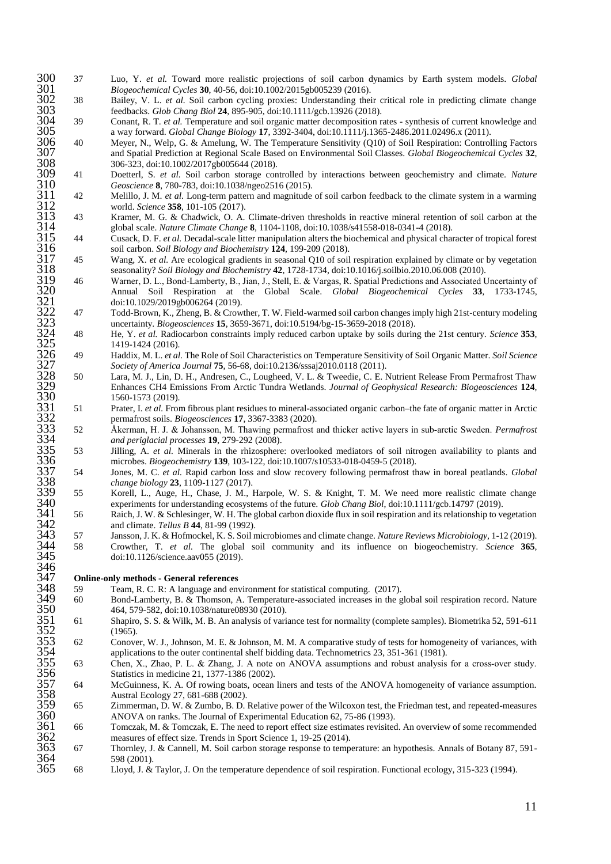*Biogeochemical Cycles* **30**, 40-56, doi:10.1002/2015gb005239 (2016).

 38 Bailey, V. L. *et al.* Soil carbon cycling proxies: Understanding their critical role in predicting climate change feedbacks. *Glob Chang Biol* **24**, 895-905, doi:10.1111/gcb.13926 (2018).

300 37 Luo, Y. *et al.* Toward more realistic projections of soil carbon dynamics by Earth system models. *Global* Biogeochemical Cycles 30, 40-56, doi:10.1002/2015gb005239 (2016).<br>302 Bailey, V. L. *et al.* Soil carbon cy 39 Conant, R. T. *et al.* Temperature and soil organic matter decomposition rates - synthesis of current knowledge and a way forward. *Global Change Biology* **17**, 3392-3404, doi:10.1111/j.1365-2486.2011.02496.x (2011).

306 40 Meyer, N., Welp, G. & Amelung, W. The Temperature Sensitivity (Q10) of Soil Respiration: Controlling Factors<br>307 and Spatial Prediction at Regional Scale Based on Environmental Soil Classes. *Global Biogeochemical C*  and Spatial Prediction at Regional Scale Based on Environmental Soil Classes. *Global Biogeochemical Cycles* **32**, 308 306-323, doi:10.1002/2017gb005644 (2018).<br>309 41 Doetterl, S. *et al.* Soil carbon storage con

Geoscience **8**, 780-783, doi:10.1038/ngeo2516 (2015).<br>A2 Melillo, J. M. *et al.* Long-term pattern and magnitude

- 42 Melillo, J. M. *et al.* Long-term pattern and magnitude of soil carbon feedback to the climate system in a warming world. *Science* **358**, 101-105 (2017).
- 43 Kramer, M. G. & Chadwick, O. A. Climate-driven thresholds in reactive mineral retention of soil carbon at the global scale. *Nature Climate Change* **8**, 1104-1108, doi:10.1038/s41558-018-0341-4 (2018).

 44 Cusack, D. F. *et al.* Decadal-scale litter manipulation alters the biochemical and physical character of tropical forest soil carbon. *Soil Biology and Biochemistry* **124**, 199-209 (2018).

- 45 Wang, X. *et al.* Are ecological gradients in seasonal Q10 of soil respiration explained by climate or by vegetation seasonality? *Soil Biology and Biochemistry* **42**, 1728-1734, doi:10.1016/j.soilbio.2010.06.008 (2010).
- 40 Doetterl, S. *et al.* Soil carbon storage controlled by interactions between geochemistry and climate. *Nature*<br>
310 Geoscience & 780-783, doi:10.1008/ng-co2516 (2015).<br>
2013 12<br>
2014 Wiello, J. M. et al. Long-term patt 46 Warner, D. L., Bond‐Lamberty, B., Jian, J., Stell, E. & Vargas, R. Spatial Predictions and Associated Uncertainty of Annual Soil Respiration at the Global Scale. *Global Biogeochemical Cycles* **33**, 1733-1745, doi:10.1029/2019gb006264 (2019).
	- 47 Todd-Brown, K., Zheng, B. & Crowther, T. W. Field-warmed soil carbon changes imply high 21st-century modeling 323 uncertainty. *Biogeosciences* **15**, 3659-3671, doi:10.5194/bg-15-3659-2018 (2018).<br>48 He. Y. *et al.* Radiocarbon constraints imply reduced carbon untake by soils during
	- 48 He, Y. *et al.* Radiocarbon constraints imply reduced carbon uptake by soils during the 21st century. *Science* **353**, 1419-1424 (2016)<br>49 Haddix, M. L, et a
	- 49 Haddix, M. L. *et al.* The Role of Soil Characteristics on Temperature Sensitivity of Soil Organic Matter. *Soil Science Society of America Journal* **75**, 56-68, doi:10.2136/sssaj2010.0118 (2011).
	- 50 Lara, M. J., Lin, D. H., Andresen, C., Lougheed, V. L. & Tweedie, C. E. Nutrient Release From Permafrost Thaw Enhances CH4 Emissions From Arctic Tundra Wetlands. *Journal of Geophysical Research: Biogeosciences* **124**, 1560-1573 (2019).<br>51 Prater, I. *et al.* From
	- 51 Prater, I. *et al.* From fibrous plant residues to mineral-associated organic carbon–the fate of organic matter in Arctic permafrost soils. *Biogeosciences* **17**, 3367-3383 (2020).

 52 Åkerman, H. J. & Johansson, M. Thawing permafrost and thicker active layers in sub‐arctic Sweden. *Permafrost and periglacial processes* **19**, 279-292 (2008).

 53 Jilling, A. *et al.* Minerals in the rhizosphere: overlooked mediators of soil nitrogen availability to plants and microbes. *Biogeochemistry* **139**, 103-122, doi:10.1007/s10533-018-0459-5 (2018).

 54 Jones, M. C. *et al.* Rapid carbon loss and slow recovery following permafrost thaw in boreal peatlands. *Global change biology* **23**, 1109-1127 (2017).<br>55 **Korell, L., Auge, H., Chase, J. M..** 

- 55 Korell, L., Auge, H., Chase, J. M., Harpole, W. S. & Knight, T. M. We need more realistic climate change
- experiments for understanding ecosystems of the future. *Glob Chang Biol*, doi:10.1111/gcb.14797 (2019).<br>
341 56 Raich, J. W. & Schlesinger, W. H. The global carbon dioxide flux in soil respiration and its relationship to 56 Raich, J. W. & Schlesinger, W. H. The global carbon dioxide flux in soil respiration and its relationship to vegetation and climate. *Tellus B* **44**, 81-99 (1992).
- 57 Jansson, J. K. & Hofmockel, K. S. Soil microbiomes and climate change. *Nature Reviews Microbiology*, 1-12 (2019). 58 Crowther, T. *et al.* The global soil community and its influence on biogeochemistry. *Science* **365**, doi:10.1126/science.aav055 (2019). 346<br>347

#### **Online-only methods - General references**

- 59 Team, R. C. R: A language and environment for statistical computing. (2017).<br>50 Bond-Lamberty, B. & Thomson, A. Temperature-associated increases in the g
- 60 Bond-Lamberty, B. & Thomson, A. Temperature-associated increases in the global soil respiration record. Nature 464, 579-582, doi:10.1038/nature08930 (2010).
- 61 Shapiro, S. S. & Wilk, M. B. An analysis of variance test for normality (complete samples). Biometrika 52, 591-611
- 62 Conover, W. J., Johnson, M. E. & Johnson, M. M. A comparative study of tests for homogeneity of variances, with applications to the outer continental shelf bidding data. Technometrics 23, 351-361 (1981).
- 63 Chen, X., Zhao, P. L. & Zhang, J. A note on ANOVA assumptions and robust analysis for a cross-over study. Statistics in medicine 21, 1377-1386 (2002).
- 348 59 Team, 1<br>
349 60 Bond-1<br>
350 464, 57<br>
351 61 Shapirc<br>
352 (1965).<br>
353 62 Conove<br>
354 applica<br>
355 63 Chen, 1<br>
356 Statistic<br>
357 64 McGui<br>
358 Austral<br>
359 65 Zimme 64 McGuinness, K. A. Of rowing boats, ocean liners and tests of the ANOVA homogeneity of variance assumption. Austral Ecology 27, 681-688 (2002).
- 65 Zimmerman, D. W. & Zumbo, B. D. Relative power of the Wilcoxon test, the Friedman test, and repeated-measures
- 360 ANOVA on ranks. The Journal of Experimental Education 62, 75-86 (1993).<br>361 66 Tomczak, M. & Tomczak, E. The need to report effect size estimates revisited 361 66 Tomczak, M. & Tomczak, E. The need to report effect size estimates revisited. An overview of some recommended measures of effect size. Trends in Sport Science 1, 19-25 (2014). 362 measures of effect size. Trends in Sport Science 1, 19-25 (2014).<br>363 67 Thornley, J. & Cannell, M. Soil carbon storage response to temp
- 67 Thornley, J. & Cannell, M. Soil carbon storage response to temperature: an hypothesis. Annals of Botany 87, 591- 364 598 (2001).<br>365 68 Llovd, J. &
- 68 Lloyd, J. & Taylor, J. On the temperature dependence of soil respiration. Functional ecology, 315-323 (1994).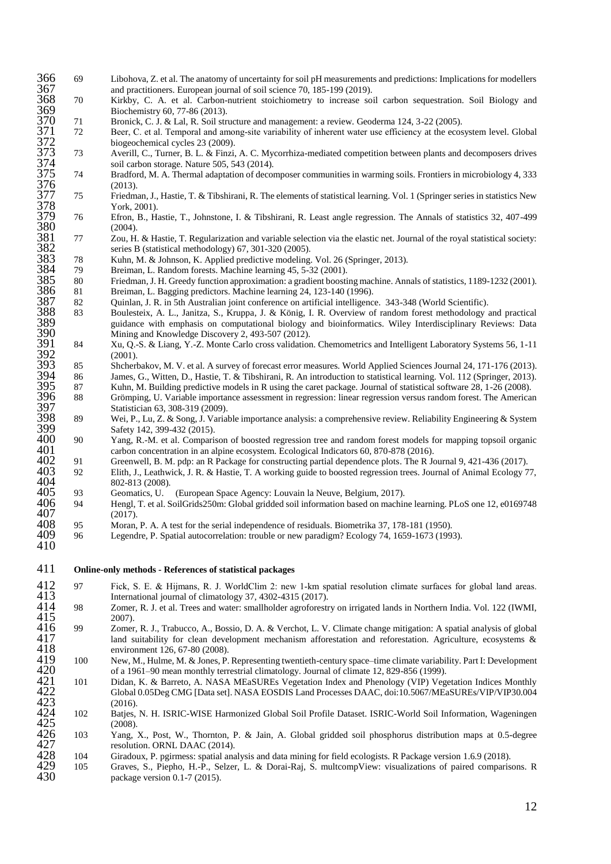- 366 69 Libohova, Z. et al. The anatomy of uncertainty for soil pH measurements and predictions: Implications for modellers and practitioners. European journal of soil science 70, 185-199 (2019).
- 368 70 Kirkby, C. A. et al. Carbon-nutrient stoichiometry to increase soil carbon sequestration. Soil Biology and Biochemistry 60, 77-86 (2013).<br>
71 Bronick, C. J. & Lal. R. Soil str
- 371 Bronick, C. J. & Lal, R. Soil structure and management: a review. Geoderma 124, 3-22 (2005).<br>32 Beer, C. et al. Temporal and among-site variability of inherent water use efficiency at the ecos
- Beer, C. et al. Temporal and among-site variability of inherent water use efficiency at the ecosystem level. Global biogeochemical cycles 23 (2009).
- 373 73 Averill, C., Turner, B. L. & Finzi, A. C. Mycorrhiza-mediated competition between plants and decomposers drives soil carbon storage. Nature 505, 543 (2014).<br>
74 Bradford, M. A. Thermal adaptation of decor
- 375 74 Bradford, M. A. Thermal adaptation of decomposer communities in warming soils. Frontiers in microbiology 4, 333 367 and pra<br>
368 70 Kirkby<br>
369 Bioche<br>
370 71 Bronicl<br>
371 72 Beer, C<br>
372 73 Averill<br>
373 73 Averill<br>
375 74 Bradfo<br>
376 (2013).<br>
377 75 Friedm<br>
378 York, 2<br>
379 76 Efron,
- 377 75 Friedman, J., Hastie, T. & Tibshirani, R. The elements of statistical learning. Vol. 1 (Springer series in statistics New York, 2001).<br>76 Efron, B., H
- 379 76 Efron, B., Hastie, T., Johnstone, I. & Tibshirani, R. Least angle regression. The Annals of statistics 32, 407-499
- 381 77 Zou, H. & Hastie, T. Regularization and variable selection via the elastic net. Journal of the royal statistical society: series B (statistical methodology) 67, 301-320 (2005).<br>
78 Kuhn, M. & Johnson, K. Applied predictive modeling
	- Kuhn, M. & Johnson, K. Applied predictive modeling. Vol. 26 (Springer, 2013).
- 39 Breiman, L. Random forests. Machine learning 45, 5-32 (2001).<br>
80 Friedman, J. H. Greedy function approximation: a gradient boosti
	- 80 Friedman, J. H. Greedy function approximation: a gradient boosting machine. Annals of statistics, 1189-1232 (2001).<br>81 Breiman, L. Bagging predictors. Machine learning 24, 123-140 (1996).
- Breiman, L. Bagging predictors. Machine learning 24, 123-140 (1996).
- 82 Ouinlan, J. R. in 5th Australian joint conference on artificial intelligence. 343-348 (World Scientific).
- 380 (2004).<br>
381 77 Zou, H<br>
382 series F<br>
383 78 Kuhn, 1<br>
384 79 Breima<br>
385 80 Friedm<br>
386 81 Breima<br>
387 82 Quinlau<br>
388 83 Boules<br>
389 guidano<br>
390 Mining 388 83 Boulesteix, A. L., Janitza, S., Kruppa, J. & König, I. R. Overview of random forest methodology and practical guidance with emphasis on computational biology and bioinformatics. Wiley Interdisciplinary Reviews: Data Mining and Knowledge Discovery 2, 493-507 (2012).
- 391 84 Xu, Q.-S. & Liang, Y.-Z. Monte Carlo cross validation. Chemometrics and Intelligent Laboratory Systems 56, 1-11 390<br>
392 84 Xu, Q.<br>
392 (2001).<br>
393 85 Shcher
- 85 Shcherbakov, M. V. et al. A survey of forecast error measures. World Applied Sciences Journal 24, 171-176 (2013).<br>394 86 James, G., Witten, D., Hastie, T. & Tibshirani, R. An introduction to statistical learning. Vol. 1 394 86 James, G., Witten, D., Hastie, T. & Tibshirani, R. An introduction to statistical learning. Vol. 112 (Springer, 2013).
- 395 87 Kuhn, M. Building predictive models in R using the caret package. Journal of statistical software 28, 1-26 (2008).
- 396 88 Grömping, U. Variable importance assessment in regression: linear regression versus random forest. The American 397 Statistician 63, 308-319 (2009).<br>398 89 Wei, P., Lu, Z. & Song, J. Varia
- 398 89 Wei, P., Lu, Z. & Song, J. Variable importance analysis: a comprehensive review. Reliability Engineering & System 399 Safety 142, 399-432 (2015).<br>400 90 Yang, R.-M. et al. Comparis
- 400 90 Yang, R.-M. et al. Comparison of boosted regression tree and random forest models for mapping topsoil organic<br>401 Creenwell, B. M. pdp: an R Package for constructing partial dependence plots. The R Journal 9, 421-43 <sup>41</sup> carbon concentration in an alpine ecosystem. Ecological Indicators 60, 870-878 (2016).<br>
<sup>41</sup> Greenwell, B. M. pdp: an R Package for constructing partial dependence plots. The R J
	-
- 91 Greenwell, B. M. pdp: an R Package for constructing partial dependence plots. The R Journal 9, 421-436 (2017).<br>403 92 Elith, J., Leathwick, J. R. & Hastie, T. A working guide to boosted regression trees. Journal of Anim 403 92 Elith, J., Leathwick, J. R. & Hastie, T. A working guide to boosted regression trees. Journal of Animal Ecology 77, 802-813 (2008).<br>93 Geomatics. U.
- 405 93 Geomatics, U. (European Space Agency: Louvain la Neuve, Belgium, 2017).
- 406 94 Hengl, T. et al. SoilGrids250m: Global gridded soil information based on machine learning. PLoS one 12, e0169748 407 (2017).<br>408 95 Moran,
- 408 95 Moran, P. A. A test for the serial independence of residuals. Biometrika 37, 178-181 (1950).<br>409 96 Legendre, P. Spatial autocorrelation: trouble or new paradigm? Ecology 74, 1659-1673 (199
- 409 96 Legendre, P. Spatial autocorrelation: trouble or new paradigm? Ecology 74, 1659-1673 (1993). 410
- 411 **Online-only methods - References of statistical packages**
- 412 97 Fick, S. E. & Hijmans, R. J. WorldClim 2: new 1‐km spatial resolution climate surfaces for global land areas. International journal of climatology 37, 4302-4315 (2017).
- 414 98 Zomer, R. J. et al. Trees and water: smallholder agroforestry on irrigated lands in Northern India. Vol. 122 (IWMI,
- 412 97 Fick,<br>413 Intern<br>414 98 Zomer<br>415 2007).<br>416 99 Zomer<br>417 Iand s Zomer, R. J., Trabucco, A., Bossio, D. A. & Verchot, L. V. Climate change mitigation: A spatial analysis of global 417 land suitability for clean development mechanism afforestation and reforestation. Agriculture, ecosystems & 418 environment 126, 67-80 (2008).<br>100 New, M., Hulme, M. & Jones, P.
- New, M., Hulme, M. & Jones, P. Representing twentieth-century space–time climate variability. Part I: Development 642 of a 1961–90 mean monthly terrestrial climatology. Journal of climate 12, 829-856 (1999).<br>101 Didan, K. & Barreto, A. NASA MEaSUREs Vegetation Index and Phenology (VIP) Veg
- Didan, K. & Barreto, A. NASA MEaSUREs Vegetation Index and Phenology (VIP) Vegetation Indices Monthly Global 0.05Deg CMG [Data set]. NASA EOSDIS Land Processes DAAC, doi:10.5067/MEaSUREs/VIP/VIP30.004 (2016). 423 (2016).
- 102 Batjes, N. H. ISRIC-WISE Harmonized Global Soil Profile Dataset. ISRIC-World Soil Information, Wageningen 425 (2008).
- 426 103 Yang, X., Post, W., Thornton, P. & Jain, A. Global gridded soil phosphorus distribution maps at 0.5-degree 427 resolution. ORNL DAAC (2014).<br>428 104 Giradoux, P. pgirmess: spatial ana
- 428 104 Giradoux, P. pgirmess: spatial analysis and data mining for field ecologists. R Package version 1.6.9 (2018).
- 429 105 Graves, S., Piepho, H.-P., Selzer, L. & Dorai-Raj, S. multcompView: visualizations of paired comparisons. R<br>430 package version 0.1-7 (2015). package version 0.1-7 (2015).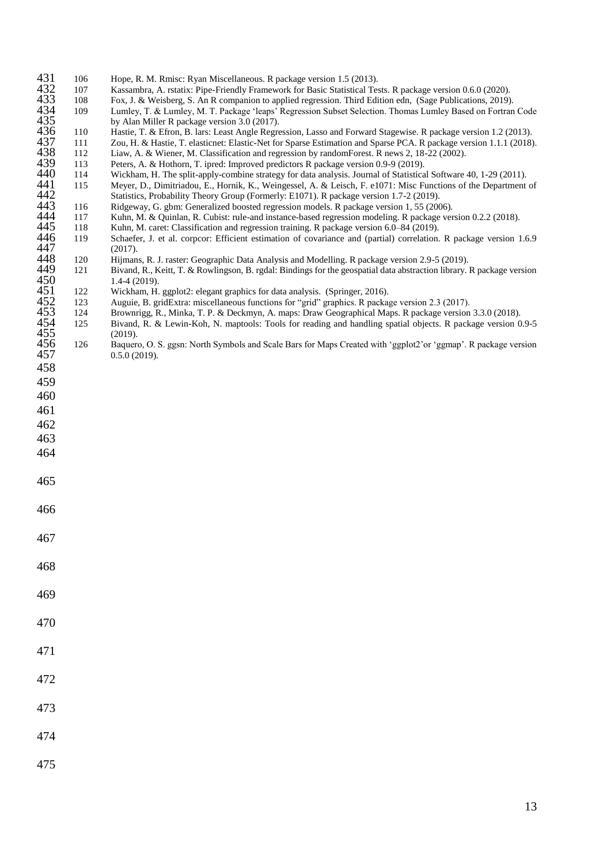| 431 | 106 | Hope, R. M. Rmisc: Ryan Miscellaneous. R package version 1.5 (2013). |  |  |
|-----|-----|----------------------------------------------------------------------|--|--|
|     |     |                                                                      |  |  |

- 
- 108 Fox, J. & Weisberg, S. An R companion to applied regression. Third Edition edn, (Sage Publications, 2019).<br>109 Lumley, T. & Lumley, M. T. Package 'leaps' Regression Subset Selection. Thomas Lumley Based on Fortrar
- 432 108 Hope, R. M. Kinsc: Kyan Miscenaneous. R package version 1.5 (2015).<br>432 107 Kassambra, A. rstatix: Pipe-Friendly Framework for Basic Statistical Tests. R package version 0.6.0 (2020).<br>434 109 Lumley, T. & Lumley, M 434 109 Lumley, T. & Lumley, M. T. Package 'leaps' Regression Subset Selection. Thomas Lumley Based on Fortran Code by Alan Miller R package version 3.0 (2017).<br>110 Hastie. T. & Efron. B. lars: Least Angle Regre
- 
- 110 Hastie, T. & Efron, B. lars: Least Angle Regression, Lasso and Forward Stagewise. R package version 1.2 (2013).<br>111 Zou, H. & Hastie, T. elasticnet: Elastic-Net for Sparse Estimation and Sparse PCA. R package version 1 437 111 Zou, H. & Hastie, T. elasticnet: Elastic-Net for Sparse Estimation and Sparse PCA. R package version 1.1.1 (2018).
	- 112 Liaw, A. & Wiener, M. Classification and regression by randomForest. R news 2, 18-22 (2002).<br>113 Peters, A. & Hothorn, T. ipred: Improved predictors R package version 0.9-9 (2019).
- 439 113 Peters, A. & Hothorn, T. ipred: Improved predictors R package version 0.9-9 (2019).<br>440 114 Wickham, H. The split-apply-combine strategy for data analysis. Journal of Statistica
- 
- 114 Wickham, H. The split-apply-combine strategy for data analysis. Journal of Statistical Software 40, 1-29 (2011).<br>
115 Meyer, D., Dimitriadou, E., Hornik, K., Weingessel, A. & Leisch, F. e1071: Misc Functions of the Dep Meyer, D., Dimitriadou, E., Hornik, K., Weingessel, A. & Leisch, F. e1071: Misc Functions of the Department of Statistics, Probability Theory Group (Formerly: E1071). R package version 1.7-2 (2019).<br>116 Ridgeway, G. gbm: Generalized boosted regression models. R package version 1, 55 (200
	- 116 Ridgeway, G. gbm: Generalized boosted regression models. R package version 1, 55 (2006).<br>117 Kuhn, M. & Quinlan, R. Cubist: rule-and instance-based regression modeling. R package ver
	- 4444 117 Kuhn, M. & Quinlan, R. Cubist: rule-and instance-based regression modeling. R package version 0.2.2 (2018).<br>444 118 Kuhn, M. caret: Classification and regression training. R package version 6.0–84 (2019).
- 445 118 Kuhn, M. caret: Classification and regression training. R package version 6.0–84 (2019).
- 119 Schaefer, J. et al. corpcor: Efficient estimation of covariance and (partial) correlation. R package version 1.6.9 447 (2017).
- 448 120 Hijmans, R. J. raster: Geographic Data Analysis and Modelling. R package version 2.9-5 (2019).
- 449 121 Bivand, R., Keitt, T. & Rowlingson, B. rgdal: Bindings for the geospatial data abstraction library. R package version 1.4-4 (2019).<br>122 Wickham, H.
- 122 Wickham, H. ggplot2: elegant graphics for data analysis. (Springer, 2016).<br>123 Auguie. B. gridExtra: miscellaneous functions for "grid" graphics. R. packa:
- 452 123 Auguie, B. gridExtra: miscellaneous functions for "grid" graphics. R package version 2.3 (2017).<br>124 Brownrigg, R., Minka, T. P. & Deckmyn, A. maps: Draw Geographical Maps. R package version
- 124 Brownrigg, R., Minka, T. P. & Deckmyn, A. maps: Draw Geographical Maps. R package version 3.3.0 (2018).<br>125 Bivand, R. & Lewin-Koh, N. maptools: Tools for reading and handling spatial objects. R package version 0.
- Bivand, R. & Lewin-Koh, N. maptools: Tools for reading and handling spatial objects. R package version 0.9-5 455 (2019).
- 126 Baquero, O. S. ggsn: North Symbols and Scale Bars for Maps Created with 'ggplot2'or 'ggmap'. R package version 0.5.0 (2019).  $0.5.0$  (2019). 458

465

- 466
- 467
- 

- 469
- 470
- 
- 471
- 472
- 473
- 
- 474
- 475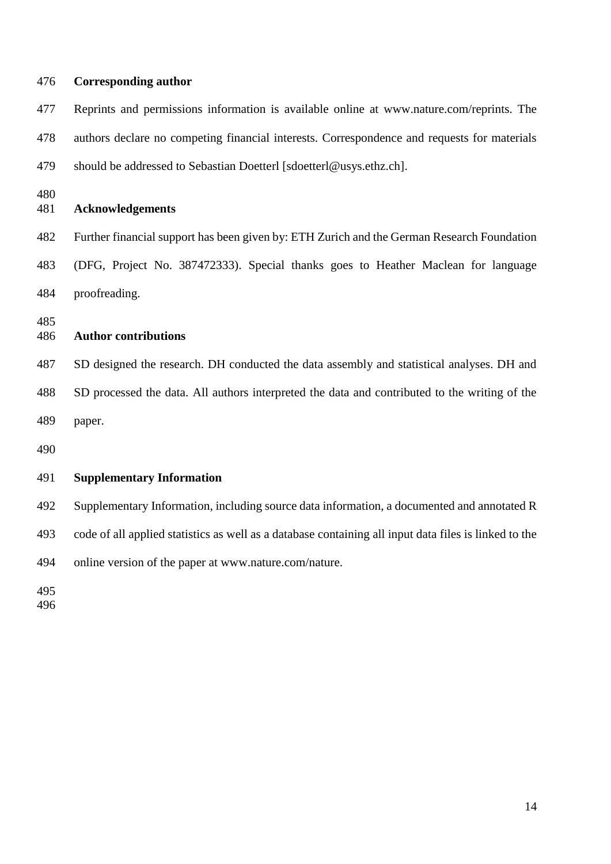| 476        | <b>Corresponding author</b>                                                                           |
|------------|-------------------------------------------------------------------------------------------------------|
| 477        | Reprints and permissions information is available online at www.nature.com/reprints. The              |
| 478        | authors declare no competing financial interests. Correspondence and requests for materials           |
| 479        | should be addressed to Sebastian Doetterl [sdoetterl@usys.ethz.ch].                                   |
| 480<br>481 | <b>Acknowledgements</b>                                                                               |
| 482        | Further financial support has been given by: ETH Zurich and the German Research Foundation            |
| 483        | (DFG, Project No. 387472333). Special thanks goes to Heather Maclean for language                     |
| 484        | proofreading.                                                                                         |
| 485<br>486 | <b>Author contributions</b>                                                                           |
| 487        | SD designed the research. DH conducted the data assembly and statistical analyses. DH and             |
| 488        | SD processed the data. All authors interpreted the data and contributed to the writing of the         |
| 489        | paper.                                                                                                |
| 490        |                                                                                                       |
| 491        | <b>Supplementary Information</b>                                                                      |
| 492        | Supplementary Information, including source data information, a documented and annotated R            |
| 493        | code of all applied statistics as well as a database containing all input data files is linked to the |
| 494        | online version of the paper at www.nature.com/nature.                                                 |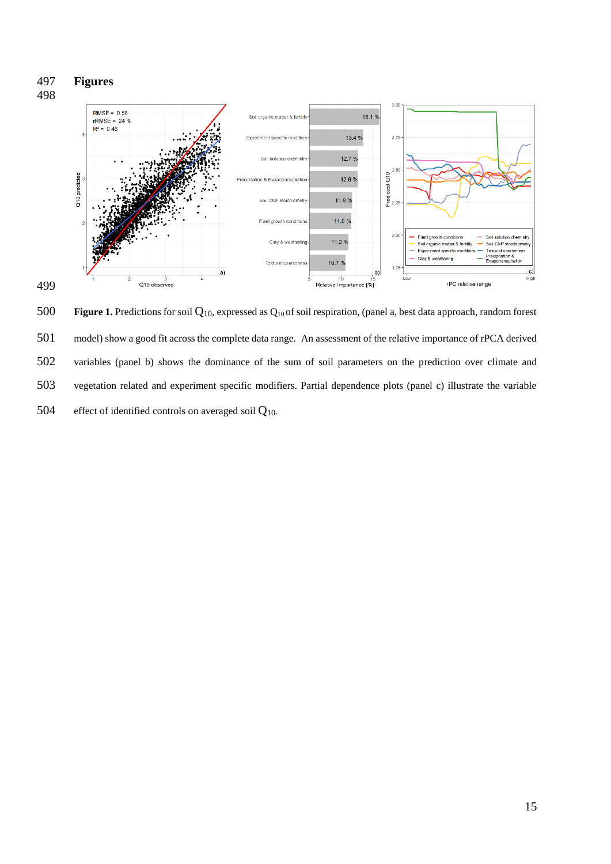

 **Figure 1.** Predictions for soil Q10, expressed as Q10 of soil respiration, (panel a, best data approach, random forest model) show a good fit across the complete data range. An assessment of the relative importance of rPCA derived variables (panel b) shows the dominance of the sum of soil parameters on the prediction over climate and vegetation related and experiment specific modifiers. Partial dependence plots (panel c) illustrate the variable 504 effect of identified controls on averaged soil  $Q_{10}$ .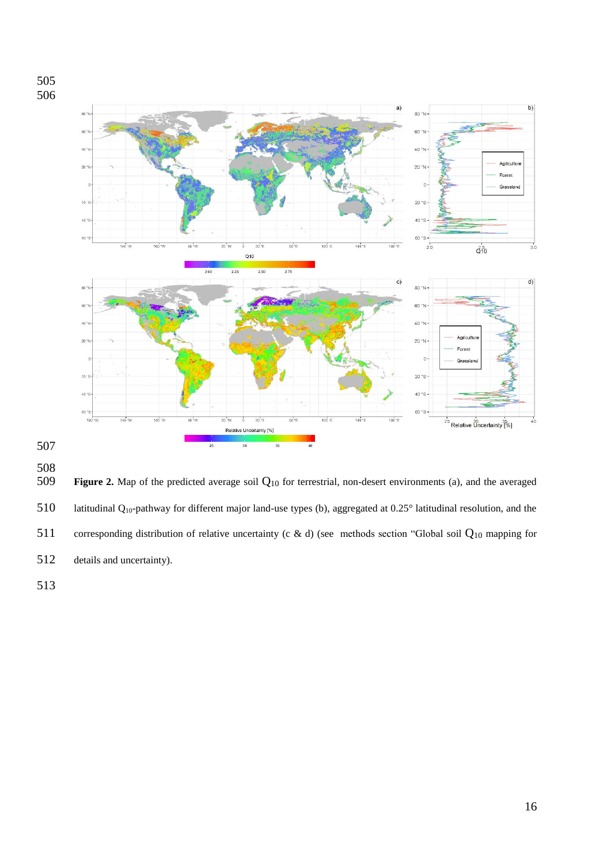





 **Figure 2.** Map of the predicted average soil  $Q_{10}$  for terrestrial, non-desert environments (a), and the averaged latitudinal Q10-pathway for different major land-use types (b), aggregated at 0.25° latitudinal resolution, and the corresponding distribution of relative uncertainty (c & d) (see methods section "Global soil Q<sup>10</sup> mapping for details and uncertainty).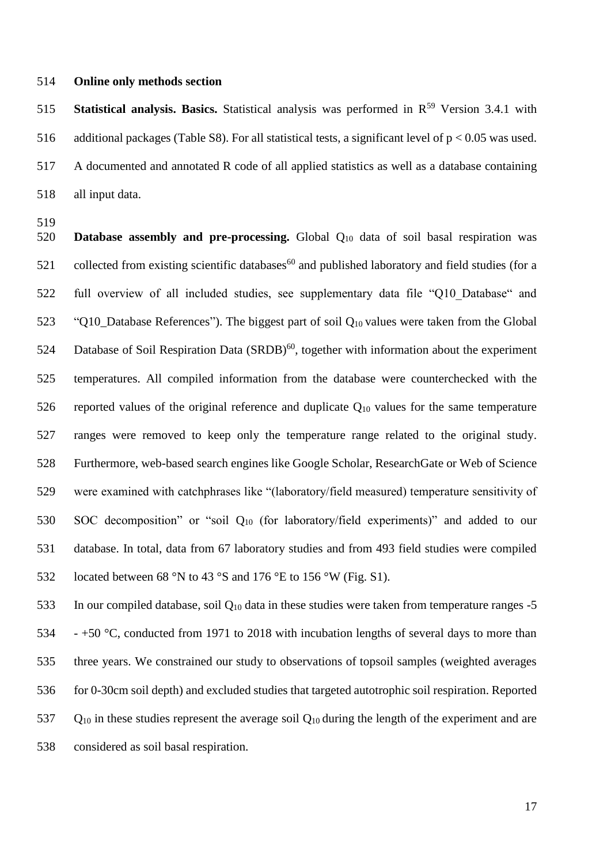### **Online only methods section**

**Statistical analysis. Basics.** Statistical analysis was performed in R<sup>59</sup> Version 3.4.1 with 516 additional packages (Table S8). For all statistical tests, a significant level of  $p < 0.05$  was used. A documented and annotated R code of all applied statistics as well as a database containing all input data.

 **Database assembly and pre-processing.** Global Q<sup>10</sup> data of soil basal respiration was 521 collected from existing scientific databases<sup>60</sup> and published laboratory and field studies (for a full overview of all included studies, see supplementary data file "Q10\_Database" and 523 "Q10 Database References"). The biggest part of soil  $Q_{10}$  values were taken from the Global 524 Database of Soil Respiration Data  $(SRDB)^{60}$ , together with information about the experiment temperatures. All compiled information from the database were counterchecked with the 526 reported values of the original reference and duplicate  $Q_{10}$  values for the same temperature ranges were removed to keep only the temperature range related to the original study. Furthermore, web-based search engines like Google Scholar, ResearchGate or Web of Science were examined with catchphrases like "(laboratory/field measured) temperature sensitivity of SOC decomposition" or "soil Q<sup>10</sup> (for laboratory/field experiments)" and added to our database. In total, data from 67 laboratory studies and from 493 field studies were compiled located between 68 °N to 43 °S and 176 °E to 156 °W (Fig. S1).

533 In our compiled database, soil  $Q_{10}$  data in these studies were taken from temperature ranges -5 534 - +50  $\degree$ C, conducted from 1971 to 2018 with incubation lengths of several days to more than three years. We constrained our study to observations of topsoil samples (weighted averages for 0-30cm soil depth) and excluded studies that targeted autotrophic soil respiration. Reported 537 Q<sub>10</sub> in these studies represent the average soil  $Q_{10}$  during the length of the experiment and are considered as soil basal respiration.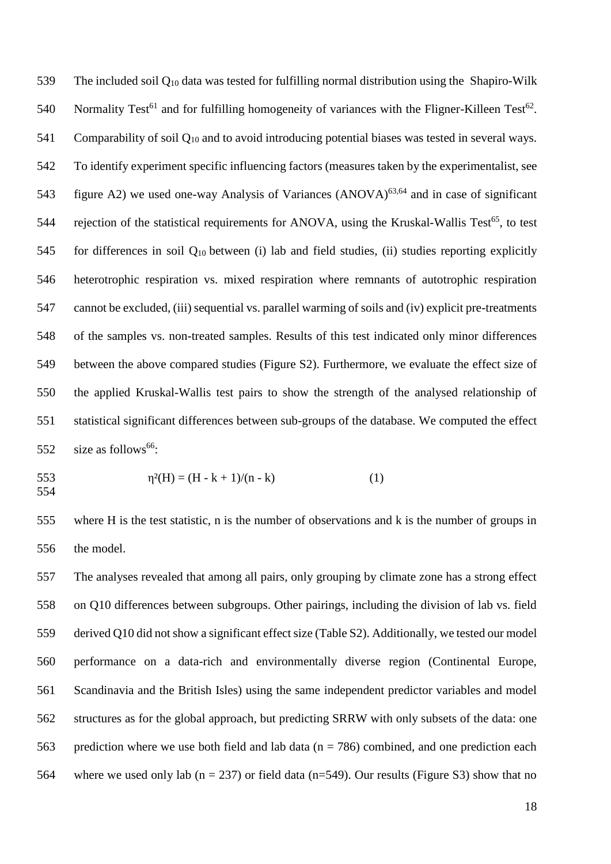The included soil Q<sup>10</sup> data was tested for fulfilling normal distribution using the Shapiro-Wilk 540 Normality Test<sup>61</sup> and for fulfilling homogeneity of variances with the Fligner-Killeen Test<sup>62</sup>. Comparability of soil Q<sup>10</sup> and to avoid introducing potential biases was tested in several ways. To identify experiment specific influencing factors (measures taken by the experimentalist, see 543 figure A2) we used one-way Analysis of Variances  $(ANOVA)^{63,64}$  and in case of significant 544 rejection of the statistical requirements for ANOVA, using the Kruskal-Wallis Test<sup>65</sup>, to test 545 for differences in soil  $Q_{10}$  between (i) lab and field studies, (ii) studies reporting explicitly heterotrophic respiration vs. mixed respiration where remnants of autotrophic respiration cannot be excluded, (iii) sequential vs. parallel warming of soils and (iv) explicit pre-treatments of the samples vs. non-treated samples. Results of this test indicated only minor differences between the above compared studies (Figure S2). Furthermore, we evaluate the effect size of the applied Kruskal-Wallis test pairs to show the strength of the analysed relationship of statistical significant differences between sub-groups of the database. We computed the effect  $size$  as follows<sup>66</sup>:

553 
$$
\eta^{2}(H) = (H - k + 1)/(n - k)
$$
 (1)

 where H is the test statistic, n is the number of observations and k is the number of groups in the model.

 The analyses revealed that among all pairs, only grouping by climate zone has a strong effect on Q10 differences between subgroups. Other pairings, including the division of lab vs. field derived Q10 did not show a significant effect size (Table S2). Additionally, we tested our model performance on a data-rich and environmentally diverse region (Continental Europe, Scandinavia and the British Isles) using the same independent predictor variables and model structures as for the global approach, but predicting SRRW with only subsets of the data: one 563 prediction where we use both field and lab data ( $n = 786$ ) combined, and one prediction each 564 where we used only lab ( $n = 237$ ) or field data ( $n = 549$ ). Our results (Figure S3) show that no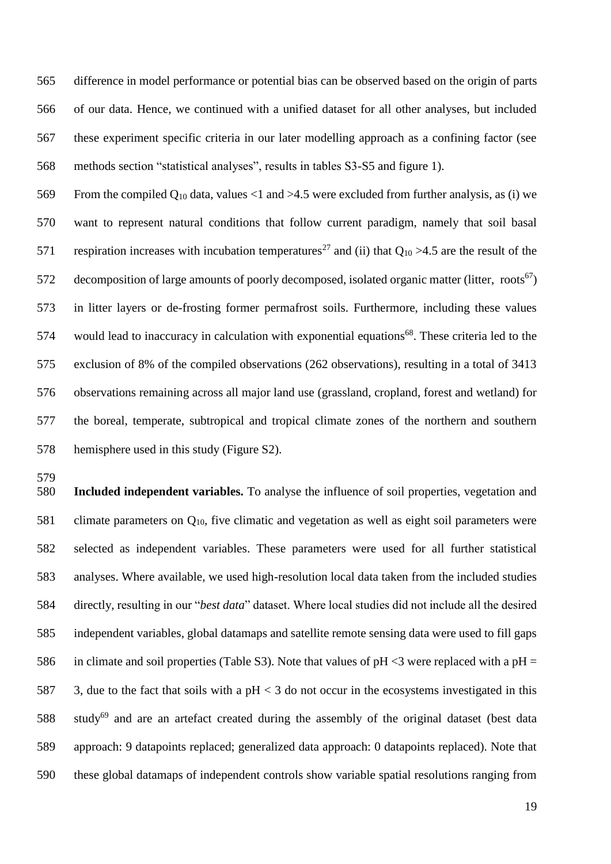difference in model performance or potential bias can be observed based on the origin of parts of our data. Hence, we continued with a unified dataset for all other analyses, but included these experiment specific criteria in our later modelling approach as a confining factor (see methods section "statistical analyses", results in tables S3-S5 and figure 1).

569 From the compiled  $Q_{10}$  data, values <1 and >4.5 were excluded from further analysis, as (i) we want to represent natural conditions that follow current paradigm, namely that soil basal 571 respiration increases with incubation temperatures<sup>27</sup> and (ii) that  $Q_{10} > 4.5$  are the result of the 572 decomposition of large amounts of poorly decomposed, isolated organic matter (litter, roots<sup>67</sup>) in litter layers or de-frosting former permafrost soils. Furthermore, including these values 574 would lead to inaccuracy in calculation with exponential equations<sup>68</sup>. These criteria led to the exclusion of 8% of the compiled observations (262 observations), resulting in a total of 3413 observations remaining across all major land use (grassland, cropland, forest and wetland) for the boreal, temperate, subtropical and tropical climate zones of the northern and southern hemisphere used in this study (Figure S2).

 **Included independent variables.** To analyse the influence of soil properties, vegetation and 581 climate parameters on  $Q_{10}$ , five climatic and vegetation as well as eight soil parameters were selected as independent variables. These parameters were used for all further statistical analyses. Where available, we used high-resolution local data taken from the included studies directly, resulting in our "*best data*" dataset. Where local studies did not include all the desired independent variables, global datamaps and satellite remote sensing data were used to fill gaps 586 in climate and soil properties (Table S3). Note that values of  $pH < 3$  were replaced with a  $pH =$ 587 3, due to the fact that soils with a  $pH < 3$  do not occur in the ecosystems investigated in this 588 study<sup>69</sup> and are an artefact created during the assembly of the original dataset (best data approach: 9 datapoints replaced; generalized data approach: 0 datapoints replaced). Note that these global datamaps of independent controls show variable spatial resolutions ranging from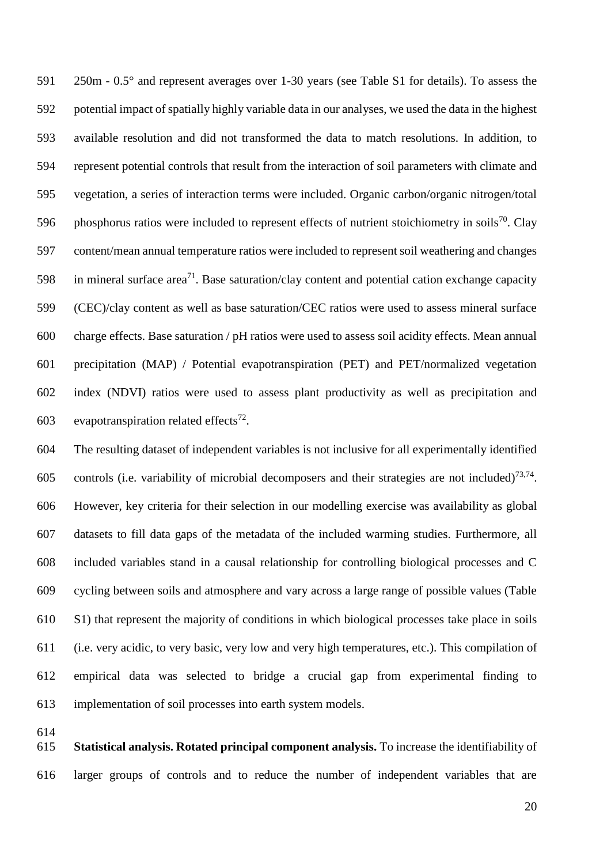250m - 0.5° and represent averages over 1-30 years (see Table S1 for details). To assess the potential impact of spatially highly variable data in our analyses, we used the data in the highest available resolution and did not transformed the data to match resolutions. In addition, to represent potential controls that result from the interaction of soil parameters with climate and vegetation, a series of interaction terms were included. Organic carbon/organic nitrogen/total 596 phosphorus ratios were included to represent effects of nutrient stoichiometry in soils<sup>70</sup>. Clay content/mean annual temperature ratios were included to represent soil weathering and changes 598 in mineral surface area<sup>71</sup>. Base saturation/clay content and potential cation exchange capacity (CEC)/clay content as well as base saturation/CEC ratios were used to assess mineral surface charge effects. Base saturation / pH ratios were used to assess soil acidity effects. Mean annual precipitation (MAP) / Potential evapotranspiration (PET) and PET/normalized vegetation index (NDVI) ratios were used to assess plant productivity as well as precipitation and 603 evapotranspiration related effects<sup>72</sup>.

 The resulting dataset of independent variables is not inclusive for all experimentally identified 605 controls (i.e. variability of microbial decomposers and their strategies are not included)<sup>73,74</sup>. However, key criteria for their selection in our modelling exercise was availability as global datasets to fill data gaps of the metadata of the included warming studies. Furthermore, all included variables stand in a causal relationship for controlling biological processes and C cycling between soils and atmosphere and vary across a large range of possible values (Table S1) that represent the majority of conditions in which biological processes take place in soils (i.e. very acidic, to very basic, very low and very high temperatures, etc.). This compilation of empirical data was selected to bridge a crucial gap from experimental finding to implementation of soil processes into earth system models.

 **Statistical analysis. Rotated principal component analysis.** To increase the identifiability of larger groups of controls and to reduce the number of independent variables that are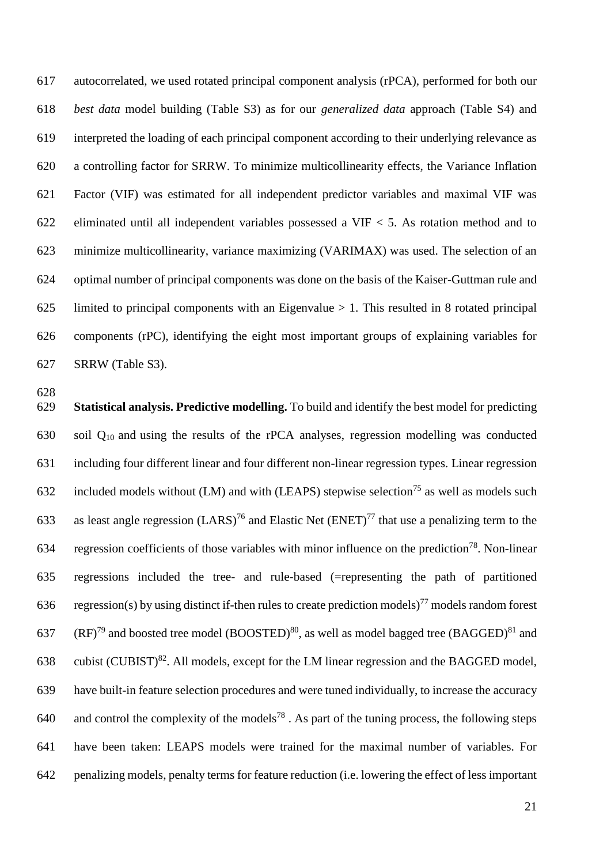autocorrelated, we used rotated principal component analysis (rPCA), performed for both our *best data* model building (Table S3) as for our *generalized data* approach (Table S4) and interpreted the loading of each principal component according to their underlying relevance as a controlling factor for SRRW. To minimize multicollinearity effects, the Variance Inflation Factor (VIF) was estimated for all independent predictor variables and maximal VIF was eliminated until all independent variables possessed a VIF < 5. As rotation method and to minimize multicollinearity, variance maximizing (VARIMAX) was used. The selection of an optimal number of principal components was done on the basis of the Kaiser-Guttman rule and 625 limited to principal components with an Eigenvalue  $> 1$ . This resulted in 8 rotated principal components (rPC), identifying the eight most important groups of explaining variables for SRRW (Table S3).

 **Statistical analysis. Predictive modelling.** To build and identify the best model for predicting soil Q10 and using the results of the rPCA analyses, regression modelling was conducted including four different linear and four different non-linear regression types. Linear regression 632 included models without (LM) and with (LEAPS) stepwise selection<sup>75</sup> as well as models such 633 as least angle regression (LARS)<sup>76</sup> and Elastic Net (ENET)<sup>77</sup> that use a penalizing term to the 634 regression coefficients of those variables with minor influence on the prediction<sup>78</sup>. Non-linear regressions included the tree- and rule-based (=representing the path of partitioned 636 regression(s) by using distinct if-then rules to create prediction models)<sup>77</sup> models random forest 637 (RF)<sup>79</sup> and boosted tree model (BOOSTED)<sup>80</sup>, as well as model bagged tree (BAGGED)<sup>81</sup> and 638 cubist (CUBIST)<sup>82</sup>. All models, except for the LM linear regression and the BAGGED model, have built-in feature selection procedures and were tuned individually, to increase the accuracy 640 and control the complexity of the models<sup>78</sup>. As part of the tuning process, the following steps have been taken: LEAPS models were trained for the maximal number of variables. For penalizing models, penalty terms for feature reduction (i.e. lowering the effect of less important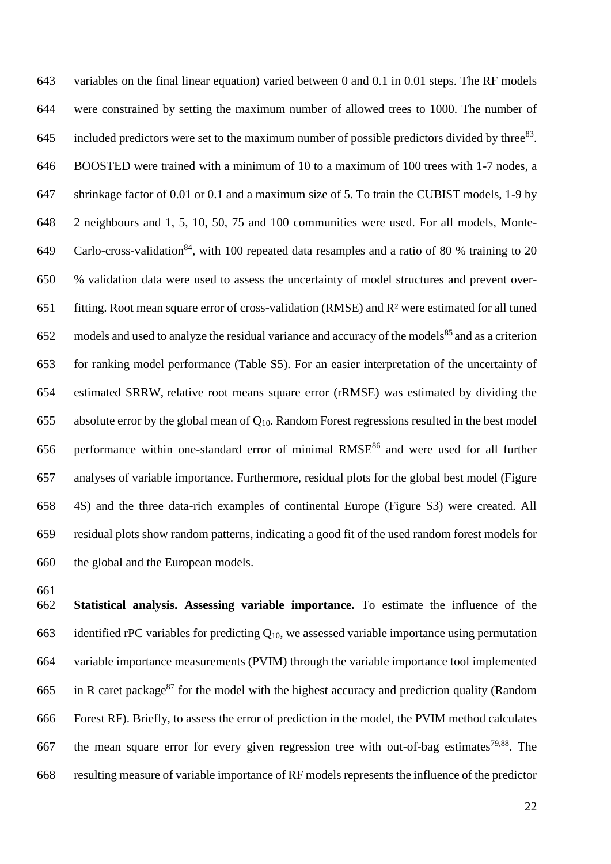variables on the final linear equation) varied between 0 and 0.1 in 0.01 steps. The RF models were constrained by setting the maximum number of allowed trees to 1000. The number of 645 included predictors were set to the maximum number of possible predictors divided by three<sup>83</sup>. BOOSTED were trained with a minimum of 10 to a maximum of 100 trees with 1-7 nodes, a shrinkage factor of 0.01 or 0.1 and a maximum size of 5. To train the CUBIST models, 1-9 by 2 neighbours and 1, 5, 10, 50, 75 and 100 communities were used. For all models, Monte-649 Carlo-cross-validation<sup>84</sup>, with 100 repeated data resamples and a ratio of 80 % training to 20 % validation data were used to assess the uncertainty of model structures and prevent over- fitting. Root mean square error of cross-validation (RMSE) and R² were estimated for all tuned models and used to analyze the residual variance and accuracy of the models<sup>85</sup> and as a criterion for ranking model performance (Table S5). For an easier interpretation of the uncertainty of estimated SRRW, relative root means square error (rRMSE) was estimated by dividing the 655 absolute error by the global mean of  $Q_{10}$ . Random Forest regressions resulted in the best model 656 performance within one-standard error of minimal  $RMSE^{86}$  and were used for all further analyses of variable importance. Furthermore, residual plots for the global best model (Figure 4S) and the three data-rich examples of continental Europe (Figure S3) were created. All residual plots show random patterns, indicating a good fit of the used random forest models for the global and the European models.

 **Statistical analysis. Assessing variable importance.** To estimate the influence of the 663 identified rPC variables for predicting  $Q_{10}$ , we assessed variable importance using permutation variable importance measurements (PVIM) through the variable importance tool implemented 665 in R caret package<sup>87</sup> for the model with the highest accuracy and prediction quality (Random Forest RF). Briefly, to assess the error of prediction in the model, the PVIM method calculates 667 the mean square error for every given regression tree with out-of-bag estimates<sup>79,88</sup>. The resulting measure of variable importance of RF models represents the influence of the predictor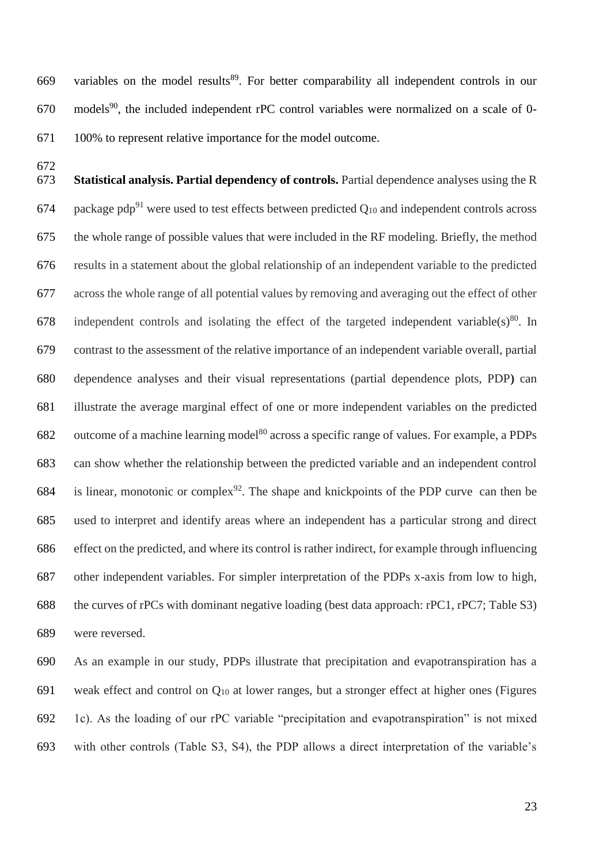669 variables on the model results<sup>89</sup>. For better comparability all independent controls in our models<sup>90</sup>, the included independent rPC control variables were normalized on a scale of 0-100% to represent relative importance for the model outcome.

 **Statistical analysis. Partial dependency of controls.** Partial dependence analyses using the R 674 package pdp<sup>91</sup> were used to test effects between predicted  $Q_{10}$  and independent controls across the whole range of possible values that were included in the RF modeling. Briefly, the method results in a statement about the global relationship of an independent variable to the predicted across the whole range of all potential values by removing and averaging out the effect of other 678 independent controls and isolating the effect of the targeted independent variable(s)<sup>80</sup>. In contrast to the assessment of the relative importance of an independent variable overall, partial dependence analyses and their visual representations (partial dependence plots, PDP**)** can illustrate the average marginal effect of one or more independent variables on the predicted 682 outcome of a machine learning model<sup>80</sup> across a specific range of values. For example, a PDPs can show whether the relationship between the predicted variable and an independent control 684 is linear, monotonic or complex<sup>92</sup>. The shape and knickpoints of the PDP curve can then be used to interpret and identify areas where an independent has a particular strong and direct effect on the predicted, and where its control is rather indirect, for example through influencing other independent variables. For simpler interpretation of the PDPs x-axis from low to high, the curves of rPCs with dominant negative loading (best data approach: rPC1, rPC7; Table S3) were reversed.

 As an example in our study, PDPs illustrate that precipitation and evapotranspiration has a 691 weak effect and control on  $Q_{10}$  at lower ranges, but a stronger effect at higher ones (Figures 1c). As the loading of our rPC variable "precipitation and evapotranspiration" is not mixed with other controls (Table S3, S4), the PDP allows a direct interpretation of the variable's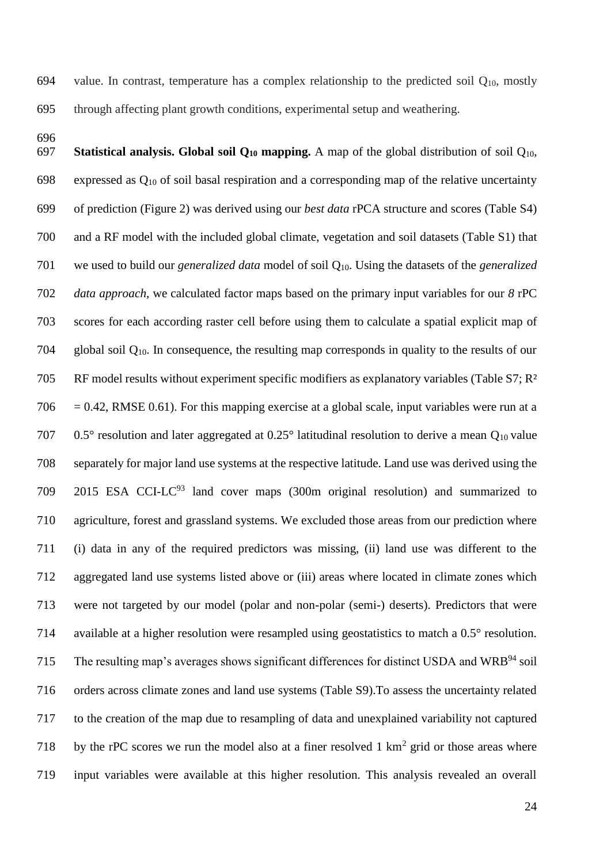694 value. In contrast, temperature has a complex relationship to the predicted soil  $Q_{10}$ , mostly through affecting plant growth conditions, experimental setup and weathering.

 **Statistical analysis. Global soil Q<sup>10</sup> mapping.** A map of the global distribution of soil Q10, 698 expressed as  $Q_{10}$  of soil basal respiration and a corresponding map of the relative uncertainty of prediction (Figure 2) was derived using our *best data* rPCA structure and scores (Table S4) and a RF model with the included global climate, vegetation and soil datasets (Table S1) that we used to build our *generalized data* model of soil Q10. Using the datasets of the *generalized data approach,* we calculated factor maps based on the primary input variables for our *8* rPC scores for each according raster cell before using them to calculate a spatial explicit map of global soil Q10. In consequence, the resulting map corresponds in quality to the results of our RF model results without experiment specific modifiers as explanatory variables (Table S7; R²  $706 = 0.42$ , RMSE 0.61). For this mapping exercise at a global scale, input variables were run at a 0.5° resolution and later aggregated at 0.25° latitudinal resolution to derive a mean Q10 value separately for major land use systems at the respective latitude. Land use was derived using the 2015 ESA CCI-LC<sup>93</sup> land cover maps (300m original resolution) and summarized to agriculture, forest and grassland systems. We excluded those areas from our prediction where (i) data in any of the required predictors was missing, (ii) land use was different to the aggregated land use systems listed above or (iii) areas where located in climate zones which were not targeted by our model (polar and non-polar (semi-) deserts). Predictors that were available at a higher resolution were resampled using geostatistics to match a 0.5° resolution. The resulting map's averages shows significant differences for distinct USDA and WRB<sup>94</sup> soil orders across climate zones and land use systems (Table S9).To assess the uncertainty related to the creation of the map due to resampling of data and unexplained variability not captured 718 by the rPC scores we run the model also at a finer resolved  $1 \text{ km}^2$  grid or those areas where input variables were available at this higher resolution. This analysis revealed an overall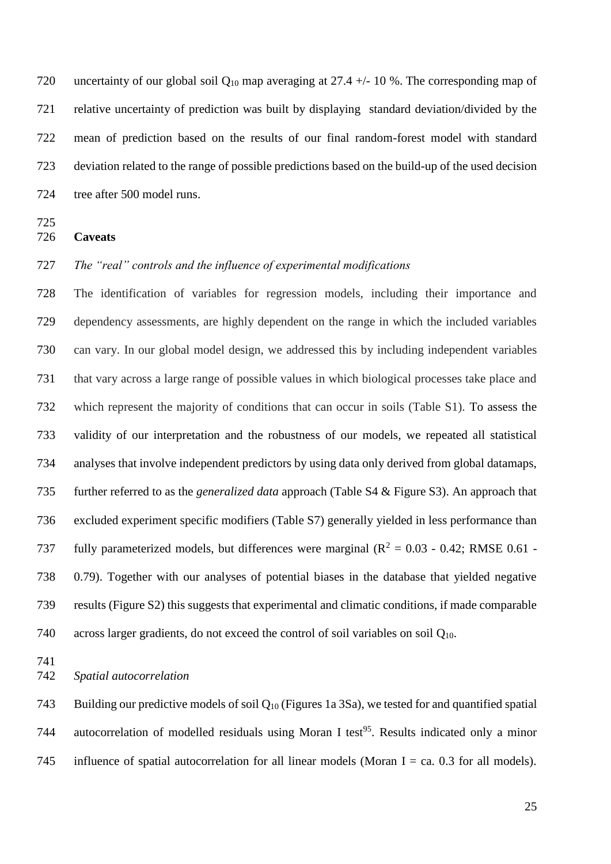720 uncertainty of our global soil  $Q_{10}$  map averaging at 27.4 +/- 10 %. The corresponding map of relative uncertainty of prediction was built by displaying standard deviation/divided by the mean of prediction based on the results of our final random-forest model with standard deviation related to the range of possible predictions based on the build-up of the used decision tree after 500 model runs.

**Caveats**

# *The "real" controls and the influence of experimental modifications*

 The identification of variables for regression models, including their importance and dependency assessments, are highly dependent on the range in which the included variables can vary. In our global model design, we addressed this by including independent variables that vary across a large range of possible values in which biological processes take place and which represent the majority of conditions that can occur in soils (Table S1). To assess the validity of our interpretation and the robustness of our models, we repeated all statistical analyses that involve independent predictors by using data only derived from global datamaps, further referred to as the *generalized data* approach (Table S4 & Figure S3). An approach that excluded experiment specific modifiers (Table S7) generally yielded in less performance than 737 fully parameterized models, but differences were marginal ( $R^2 = 0.03 - 0.42$ ; RMSE 0.61 - 0.79). Together with our analyses of potential biases in the database that yielded negative results (Figure S2) this suggests that experimental and climatic conditions, if made comparable across larger gradients, do not exceed the control of soil variables on soil Q10.

*Spatial autocorrelation*

743 Building our predictive models of soil  $Q_{10}$  (Figures 1a 3Sa), we tested for and quantified spatial 744 autocorrelation of modelled residuals using Moran I test<sup>95</sup>. Results indicated only a minor 745 influence of spatial autocorrelation for all linear models (Moran I = ca. 0.3 for all models).